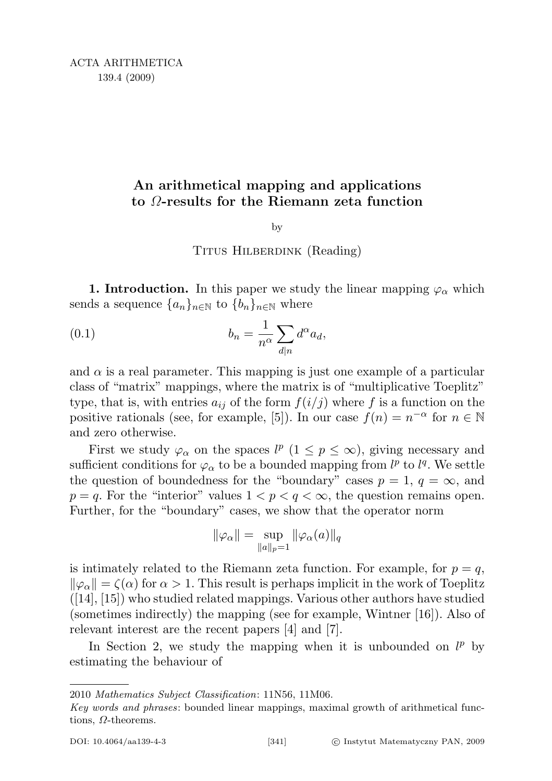# An arithmetical mapping and applications to Ω-results for the Riemann zeta function

by

## TITUS HILBERDINK (Reading)

1. Introduction. In this paper we study the linear mapping  $\varphi_{\alpha}$  which sends a sequence  $\{a_n\}_{n\in\mathbb{N}}$  to  $\{b_n\}_{n\in\mathbb{N}}$  where

(0.1) 
$$
b_n = \frac{1}{n^{\alpha}} \sum_{d|n} d^{\alpha} a_d,
$$

and  $\alpha$  is a real parameter. This mapping is just one example of a particular class of "matrix" mappings, where the matrix is of "multiplicative Toeplitz" type, that is, with entries  $a_{ij}$  of the form  $f(i/j)$  where f is a function on the positive rationals (see, for example, [5]). In our case  $f(n) = n^{-\alpha}$  for  $n \in \mathbb{N}$ and zero otherwise.

First we study  $\varphi_{\alpha}$  on the spaces  $l^p$   $(1 \leq p \leq \infty)$ , giving necessary and sufficient conditions for  $\varphi_{\alpha}$  to be a bounded mapping from  $l^p$  to  $l^q$ . We settle the question of boundedness for the "boundary" cases  $p = 1, q = \infty$ , and  $p = q$ . For the "interior" values  $1 < p < q < \infty$ , the question remains open. Further, for the "boundary" cases, we show that the operator norm

$$
\|\varphi_\alpha\| = \sup_{\|a\|_p = 1} \|\varphi_\alpha(a)\|_q
$$

is intimately related to the Riemann zeta function. For example, for  $p = q$ ,  $\|\varphi_{\alpha}\| = \zeta(\alpha)$  for  $\alpha > 1$ . This result is perhaps implicit in the work of Toeplitz ([14], [15]) who studied related mappings. Various other authors have studied (sometimes indirectly) the mapping (see for example, Wintner [16]). Also of relevant interest are the recent papers [4] and [7].

In Section 2, we study the mapping when it is unbounded on  $l^p$  by estimating the behaviour of

<sup>2010</sup> Mathematics Subject Classification: 11N56, 11M06.

Key words and phrases: bounded linear mappings, maximal growth of arithmetical functions, Ω-theorems.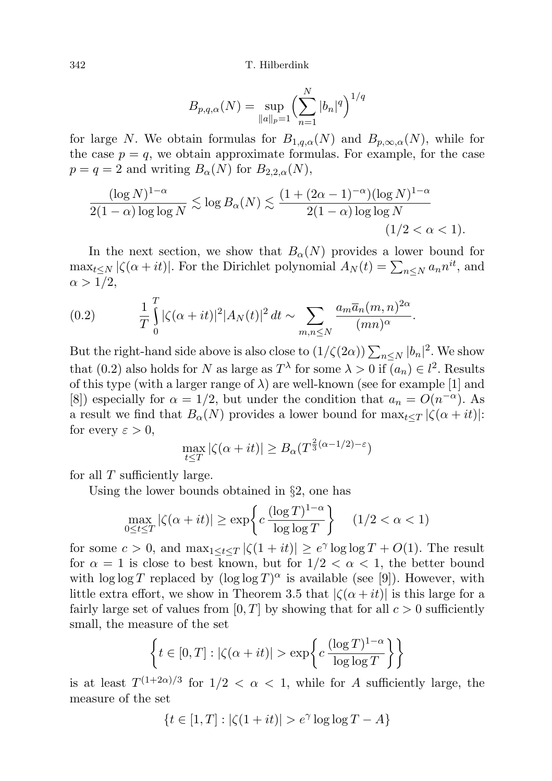$$
B_{p,q,\alpha}(N) = \sup_{\|a\|_p = 1} \left(\sum_{n=1}^N |b_n|^q\right)^{1/q}
$$

for large N. We obtain formulas for  $B_{1,q,\alpha}(N)$  and  $B_{p,\infty,\alpha}(N)$ , while for the case  $p = q$ , we obtain approximate formulas. For example, for the case  $p = q = 2$  and writing  $B_{\alpha}(N)$  for  $B_{2,2,\alpha}(N)$ ,

$$
\frac{(\log N)^{1-\alpha}}{2(1-\alpha)\log\log N} \lesssim \log B_{\alpha}(N) \lesssim \frac{(1+(2\alpha-1)^{-\alpha})(\log N)^{1-\alpha}}{2(1-\alpha)\log\log N}
$$
\n
$$
(1/2 < \alpha < 1).
$$

In the next section, we show that  $B_{\alpha}(N)$  provides a lower bound for  $\max_{t \leq N} |\zeta(\alpha + it)|$ . For the Dirichlet polynomial  $A_N(t) = \sum_{n \leq N} a_n n^{it}$ , and  $\alpha > 1/2$ ,

(0.2) 
$$
\frac{1}{T} \int_{0}^{T} |\zeta(\alpha+it)|^{2} |A_{N}(t)|^{2} dt \sim \sum_{m,n \leq N} \frac{a_{m} \overline{a}_{n} (m,n)^{2\alpha}}{(mn)^{\alpha}}.
$$

But the right-hand side above is also close to  $(1/\zeta(2\alpha))\sum_{n\leq N} |b_n|^2$ . We show that (0.2) also holds for N as large as  $T^{\lambda}$  for some  $\lambda > 0$  if  $(a_n) \in l^2$ . Results of this type (with a larger range of  $\lambda$ ) are well-known (see for example [1] and [8]) especially for  $\alpha = 1/2$ , but under the condition that  $a_n = O(n^{-\alpha})$ . As a result we find that  $B_{\alpha}(N)$  provides a lower bound for  $\max_{t\leq T} |\zeta(\alpha+it)|$ : for every  $\varepsilon > 0$ ,

$$
\max_{t \leq T} |\zeta(\alpha + it)| \geq B_{\alpha}(T^{\frac{2}{3}(\alpha - 1/2) - \varepsilon})
$$

for all  $T$  sufficiently large.

Using the lower bounds obtained in §2, one has

$$
\max_{0 \le t \le T} |\zeta(\alpha + it)| \ge \exp\left\{c \, \frac{(\log T)^{1-\alpha}}{\log \log T}\right\} \quad (1/2 < \alpha < 1)
$$

for some  $c > 0$ , and  $\max_{1 \le t \le T} |\zeta(1+it)| \ge e^{\gamma} \log \log T + O(1)$ . The result for  $\alpha = 1$  is close to best known, but for  $1/2 < \alpha < 1$ , the better bound with  $\log \log T$  replaced by  $(\log \log T)^{\alpha}$  is available (see [9]). However, with little extra effort, we show in Theorem 3.5 that  $|\zeta(\alpha+it)|$  is this large for a fairly large set of values from  $[0, T]$  by showing that for all  $c > 0$  sufficiently small, the measure of the set

$$
\left\{ t \in [0, T] : |\zeta(\alpha + it)| > \exp\left\{ c \, \frac{(\log T)^{1-\alpha}}{\log \log T} \right\} \right\}
$$

is at least  $T^{(1+2\alpha)/3}$  for  $1/2 < \alpha < 1$ , while for A sufficiently large, the measure of the set

$$
\{t\in [1,T]: |\zeta(1+it)|>e^\gamma\log\log T-A\}
$$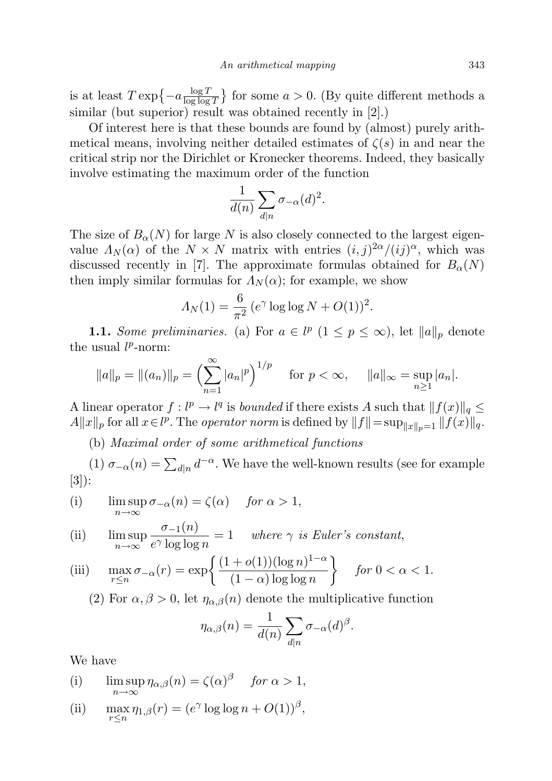is at least  $T \exp \{-a \frac{\log T}{\log \log T}\}$  $\frac{\log T}{\log \log T}$  for some  $a > 0$ . (By quite different methods a similar (but superior) result was obtained recently in [2].)

Of interest here is that these bounds are found by (almost) purely arithmetical means, involving neither detailed estimates of  $\zeta(s)$  in and near the critical strip nor the Dirichlet or Kronecker theorems. Indeed, they basically involve estimating the maximum order of the function

$$
\frac{1}{d(n)}\sum_{d|n}\sigma_{-\alpha}(d)^2.
$$

The size of  $B_{\alpha}(N)$  for large N is also closely connected to the largest eigenvalue  $\Lambda_N(\alpha)$  of the  $N \times N$  matrix with entries  $(i, j)^{2\alpha}/(ij)^{\alpha}$ , which was discussed recently in [7]. The approximate formulas obtained for  $B_{\alpha}(N)$ then imply similar formulas for  $\Lambda_N(\alpha)$ ; for example, we show

$$
\Lambda_N(1) = \frac{6}{\pi^2} (e^{\gamma} \log \log N + O(1))^2.
$$

**1.1.** Some preliminaries. (a) For  $a \in l^p$   $(1 \leq p \leq \infty)$ , let  $||a||_p$  denote the usual  $l^p$ -norm:

$$
||a||_p = ||(a_n)||_p = \left(\sum_{n=1}^{\infty} |a_n|^p\right)^{1/p}
$$
 for  $p < \infty$ ,  $||a||_{\infty} = \sup_{n \ge 1} |a_n|$ .

A linear operator  $f: l^p \to l^q$  is *bounded* if there exists A such that  $||f(x)||_q \leq$  $A||x||_p$  for all  $x \in l^p$ . The *operator norm* is defined by  $||f|| = \sup_{||x||_p=1} ||f(x)||_q$ .

(b) Maximal order of some arithmetical functions

(1)  $\sigma_{-\alpha}(n) = \sum_{d|n} d^{-\alpha}$ . We have the well-known results (see for example [3]):

(i) 
$$
\limsup_{n \to \infty} \sigma_{-\alpha}(n) = \zeta(\alpha)
$$
 for  $\alpha > 1$ ,

(ii) 
$$
\limsup_{n \to \infty} \frac{\sigma_{-1}(n)}{e^{\gamma} \log \log n} = 1 \quad \text{where } \gamma \text{ is Euler's constant,}
$$

(iii) 
$$
\max_{r \le n} \sigma_{-\alpha}(r) = \exp\left\{ \frac{(1 + o(1))(\log n)^{1 - \alpha}}{(1 - \alpha)\log \log n} \right\} \quad \text{for } 0 < \alpha < 1.
$$

(2) For  $\alpha, \beta > 0$ , let  $\eta_{\alpha,\beta}(n)$  denote the multiplicative function

$$
\eta_{\alpha,\beta}(n) = \frac{1}{d(n)} \sum_{d|n} \sigma_{-\alpha}(d)^{\beta}.
$$

We have

(i) 
$$
\limsup_{n \to \infty} \eta_{\alpha,\beta}(n) = \zeta(\alpha)^{\beta} \quad \text{for } \alpha > 1,
$$

(ii) 
$$
\max_{r \leq n} \eta_{1,\beta}(r) = (e^{\gamma} \log \log n + O(1))^{\beta},
$$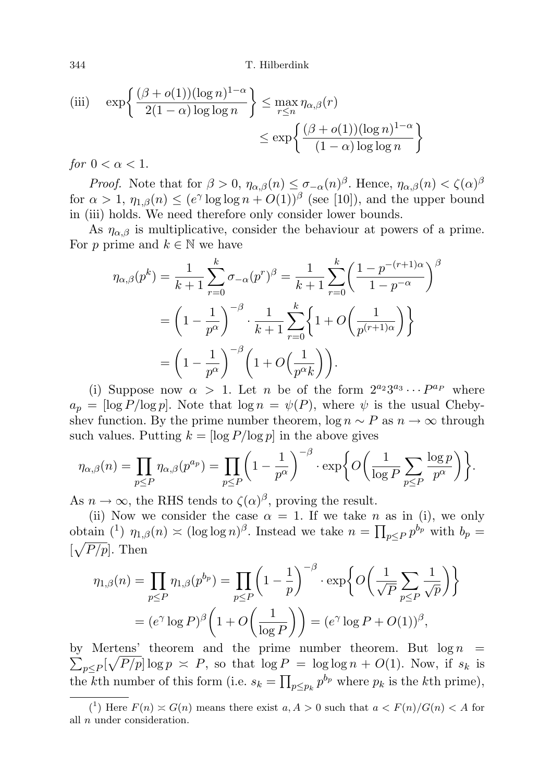344 T. Hilberdink

(iii) 
$$
\exp\left\{\frac{(\beta + o(1))(\log n)^{1-\alpha}}{2(1-\alpha)\log\log n}\right\} \le \max_{r \le n} \eta_{\alpha,\beta}(r)
$$

$$
\le \exp\left\{\frac{(\beta + o(1))(\log n)^{1-\alpha}}{(1-\alpha)\log\log n}\right\}
$$

for  $0 < \alpha < 1$ .

*Proof.* Note that for  $\beta > 0$ ,  $\eta_{\alpha,\beta}(n) \leq \sigma_{-\alpha}(n)^{\beta}$ . Hence,  $\eta_{\alpha,\beta}(n) < \zeta(\alpha)^{\beta}$ for  $\alpha > 1$ ,  $\eta_{1,\beta}(n) \leq (e^{\gamma} \log \log n + O(1))^{\beta}$  (see [10]), and the upper bound in (iii) holds. We need therefore only consider lower bounds.

As  $\eta_{\alpha,\beta}$  is multiplicative, consider the behaviour at powers of a prime. For p prime and  $k \in \mathbb{N}$  we have

$$
\eta_{\alpha,\beta}(p^k) = \frac{1}{k+1} \sum_{r=0}^k \sigma_{-\alpha}(p^r)^{\beta} = \frac{1}{k+1} \sum_{r=0}^k \left(\frac{1-p^{-(r+1)\alpha}}{1-p^{-\alpha}}\right)^{\beta}
$$

$$
= \left(1 - \frac{1}{p^{\alpha}}\right)^{-\beta} \cdot \frac{1}{k+1} \sum_{r=0}^k \left\{1 + O\left(\frac{1}{p^{(r+1)\alpha}}\right)\right\}
$$

$$
= \left(1 - \frac{1}{p^{\alpha}}\right)^{-\beta} \left(1 + O\left(\frac{1}{p^{\alpha}k}\right)\right).
$$

(i) Suppose now  $\alpha > 1$ . Let *n* be of the form  $2^{a_2}3^{a_3}\cdots P^{a_p}$  where  $a_p = \log P/\log p$ . Note that  $\log n = \psi(P)$ , where  $\psi$  is the usual Chebyshev function. By the prime number theorem,  $\log n \sim P$  as  $n \to \infty$  through such values. Putting  $k = \lfloor \log P / \log p \rfloor$  in the above gives

$$
\eta_{\alpha,\beta}(n) = \prod_{p \leq P} \eta_{\alpha,\beta}(p^{a_p}) = \prod_{p \leq P} \left(1 - \frac{1}{p^{\alpha}}\right)^{-\beta} \cdot \exp\bigg\{O\bigg(\frac{1}{\log P} \sum_{p \leq P} \frac{\log p}{p^{\alpha}}\bigg)\bigg\}.
$$

As  $n \to \infty$ , the RHS tends to  $\zeta(\alpha)^{\beta}$ , proving the result.

(ii) Now we consider the case  $\alpha = 1$ . If we take n as in (i), we only obtain (<sup>1</sup>)  $\eta_{1,\beta}(n) \asymp (\log \log n)^{\beta}$ . Instead we take  $n = \prod_{p \leq P} p^{b_p}$  with  $b_p =$  $[\sqrt{P/p}]$ . Then

$$
\eta_{1,\beta}(n) = \prod_{p \le P} \eta_{1,\beta}(p^{b_p}) = \prod_{p \le P} \left(1 - \frac{1}{p}\right)^{-\beta} \cdot \exp\left\{O\left(\frac{1}{\sqrt{P}} \sum_{p \le P} \frac{1}{\sqrt{p}}\right)\right\}
$$

$$
= (e^{\gamma} \log P)^{\beta} \left(1 + O\left(\frac{1}{\log P}\right)\right) = (e^{\gamma} \log P + O(1))^{\beta},
$$

 $\sum_{p\leq P}[\sqrt{P/p}]\log p \approx P$ , so that  $\log P = \log \log n + O(1)$ . Now, if  $s_k$  is by Mertens' theorem and the prime number theorem. But  $\log n$ the kth number of this form (i.e.  $s_k = \prod_{p \leq p_k} p^{b_p}$  where  $p_k$  is the kth prime),

<sup>(&</sup>lt;sup>1</sup>) Here  $F(n) \simeq G(n)$  means there exist  $a, A > 0$  such that  $a < F(n)/G(n) < A$  for all n under consideration.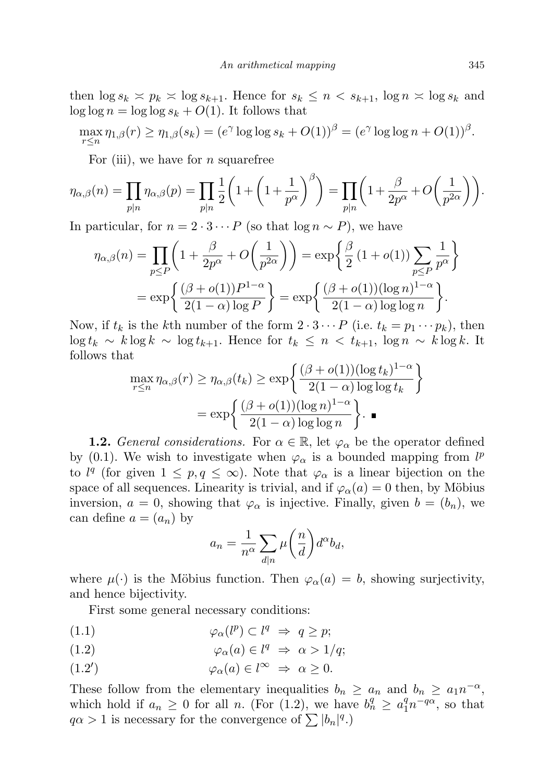then  $\log s_k \asymp p_k \asymp \log s_{k+1}$ . Hence for  $s_k \le n \lt s_{k+1}$ ,  $\log n \asymp \log s_k$  and  $\log \log n = \log \log s_k + O(1)$ . It follows that

$$
\max_{r \leq n} \eta_{1,\beta}(r) \geq \eta_{1,\beta}(s_k) = (e^{\gamma} \log \log s_k + O(1))^{\beta} = (e^{\gamma} \log \log n + O(1))^{\beta}.
$$

For (iii), we have for  $n$  squarefree

$$
\eta_{\alpha,\beta}(n) = \prod_{p|n} \eta_{\alpha,\beta}(p) = \prod_{p|n} \frac{1}{2} \left( 1 + \left( 1 + \frac{1}{p^{\alpha}} \right)^{\beta} \right) = \prod_{p|n} \left( 1 + \frac{\beta}{2p^{\alpha}} + O\left(\frac{1}{p^{2\alpha}}\right) \right).
$$

In particular, for  $n = 2 \cdot 3 \cdots P$  (so that  $\log n \sim P$ ), we have

$$
\eta_{\alpha,\beta}(n) = \prod_{p \le P} \left( 1 + \frac{\beta}{2p^{\alpha}} + O\left(\frac{1}{p^{2\alpha}}\right) \right) = \exp\left\{ \frac{\beta}{2} \left( 1 + o(1) \right) \sum_{p \le P} \frac{1}{p^{\alpha}} \right\}
$$

$$
= \exp\left\{ \frac{(\beta + o(1))P^{1-\alpha}}{2(1-\alpha)\log P} \right\} = \exp\left\{ \frac{(\beta + o(1))(\log n)^{1-\alpha}}{2(1-\alpha)\log\log n} \right\}.
$$

Now, if  $t_k$  is the kth number of the form  $2 \cdot 3 \cdots P$  (i.e.  $t_k = p_1 \cdots p_k$ ), then  $\log t_k \sim k \log k \sim \log t_{k+1}$ . Hence for  $t_k \leq n \lt t_{k+1}$ ,  $\log n \sim k \log k$ . It follows that

$$
\max_{r \le n} \eta_{\alpha,\beta}(r) \ge \eta_{\alpha,\beta}(t_k) \ge \exp\left\{\frac{(\beta + o(1))(\log t_k)^{1-\alpha}}{2(1-\alpha)\log\log t_k}\right\}
$$

$$
= \exp\left\{\frac{(\beta + o(1))(\log n)^{1-\alpha}}{2(1-\alpha)\log\log n}\right\}.
$$

**1.2.** General considerations. For  $\alpha \in \mathbb{R}$ , let  $\varphi_{\alpha}$  be the operator defined by (0.1). We wish to investigate when  $\varphi_{\alpha}$  is a bounded mapping from  $l^{p}$ to  $l^q$  (for given  $1 \leq p, q \leq \infty$ ). Note that  $\varphi_\alpha$  is a linear bijection on the space of all sequences. Linearity is trivial, and if  $\varphi_{\alpha}(a) = 0$  then, by Möbius inversion,  $a = 0$ , showing that  $\varphi_{\alpha}$  is injective. Finally, given  $b = (b_n)$ , we can define  $a = (a_n)$  by

$$
a_n = \frac{1}{n^{\alpha}} \sum_{d|n} \mu\left(\frac{n}{d}\right) d^{\alpha}b_d,
$$

where  $\mu(\cdot)$  is the Möbius function. Then  $\varphi_{\alpha}(a) = b$ , showing surjectivity, and hence bijectivity.

First some general necessary conditions:

- (1.1)  $\varphi_{\alpha}(l^{p}) \subset l^{q} \Rightarrow q \geq p;$
- (1.2)  $\varphi_{\alpha}(a) \in l^q \Rightarrow \alpha > 1/q;$
- $\varphi_{\alpha}(a) \in l^{\infty} \Rightarrow \alpha \geq 0.$  $')$

These follow from the elementary inequalities  $b_n \ge a_n$  and  $b_n \ge a_1 n^{-\alpha}$ , which hold if  $a_n \geq 0$  for all n. (For (1.2), we have  $b_n^q \geq a_1^q n^{-q\alpha}$ , so that  $q\alpha > 1$  is necessary for the convergence of  $\sum |b_n|^q$ .)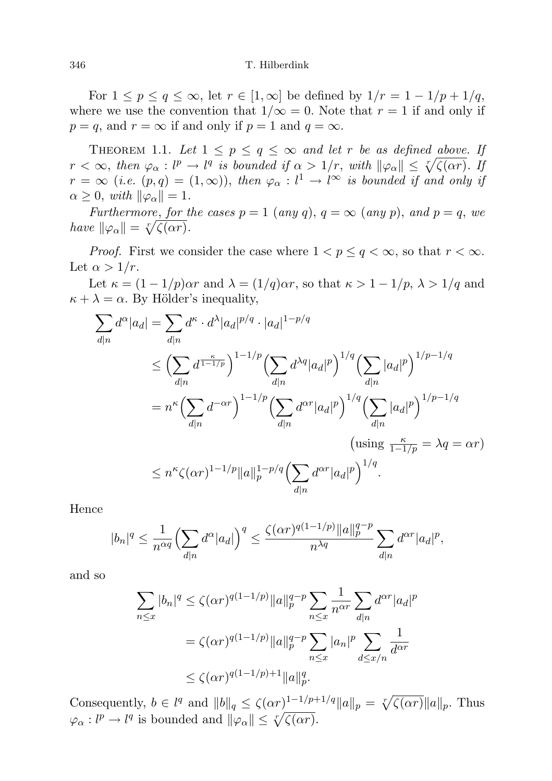For  $1 \le p \le q \le \infty$ , let  $r \in [1,\infty]$  be defined by  $1/r = 1 - 1/p + 1/q$ , where we use the convention that  $1/\infty = 0$ . Note that  $r = 1$  if and only if  $p = q$ , and  $r = \infty$  if and only if  $p = 1$  and  $q = \infty$ .

THEOREM 1.1. Let  $1 \leq p \leq q \leq \infty$  and let r be as defined above. If  $r < \infty$ , then  $\varphi_{\alpha}: l^p \to l^q$  is bounded if  $\alpha > 1/r$ , with  $\|\varphi_{\alpha}\| \leq \sqrt[r]{\zeta(\alpha r)}$ . If  $r = \infty$  (i.e.  $(p,q) = (1,\infty)$ ), then  $\varphi_{\alpha} : l^1 \to l^{\infty}$  is bounded if and only if  $\alpha \geq 0$ , with  $\|\varphi_{\alpha}\|=1$ .

Furthermore, for the cases  $p = 1$  (any q),  $q = \infty$  (any p), and  $p = q$ , we have  $\|\varphi_\alpha\| = \sqrt[r]{\zeta(\alpha r)}$ .

*Proof.* First we consider the case where  $1 < p \le q < \infty$ , so that  $r < \infty$ . Let  $\alpha > 1/r$ .

Let  $\kappa = (1 - 1/p)\alpha r$  and  $\lambda = (1/q)\alpha r$ , so that  $\kappa > 1 - 1/p$ ,  $\lambda > 1/q$  and  $\kappa + \lambda = \alpha$ . By Hölder's inequality,

$$
\sum_{d|n} d^{\alpha} |a_d| = \sum_{d|n} d^{\kappa} \cdot d^{\lambda} |a_d|^{p/q} \cdot |a_d|^{1-p/q}
$$
\n
$$
\leq \left(\sum_{d|n} d^{\frac{\kappa}{1-1/p}}\right)^{1-1/p} \left(\sum_{d|n} d^{\lambda q} |a_d|^p\right)^{1/q} \left(\sum_{d|n} |a_d|^p\right)^{1/p-1/q}
$$
\n
$$
= n^{\kappa} \left(\sum_{d|n} d^{-\alpha r}\right)^{1-1/p} \left(\sum_{d|n} d^{\alpha r} |a_d|^p\right)^{1/q} \left(\sum_{d|n} |a_d|^p\right)^{1/p-1/q}
$$
\n
$$
\left(\text{using } \frac{\kappa}{1-1/p} = \lambda q = \alpha r\right)
$$
\n
$$
\leq n^{\kappa} \zeta(\alpha r)^{1-1/p} ||a||_p^{1-p/q} \left(\sum_{d|n} d^{\alpha r} |a_d|^p\right)^{1/q}.
$$

Hence

$$
|b_n|^q \leq \frac{1}{n^{\alpha q}} \Biggl(\sum_{d|n} d^{\alpha} |a_d|\Biggr)^q \leq \frac{\zeta(\alpha r)^{q(1-1/p)} ||a||_p^{q-p}}{n^{\lambda q}} \sum_{d|n} d^{\alpha r} |a_d|^p,
$$

and so

$$
\sum_{n \le x} |b_n|^q \le \zeta(\alpha r)^{q(1-1/p)} \|a\|_p^{q-p} \sum_{n \le x} \frac{1}{n^{\alpha r}} \sum_{d|n} d^{\alpha r} |a_d|^p
$$
  
=  $\zeta(\alpha r)^{q(1-1/p)} \|a\|_p^{q-p} \sum_{n \le x} |a_n|^p \sum_{d \le x/n} \frac{1}{d^{\alpha r}}$   
 $\le \zeta(\alpha r)^{q(1-1/p)+1} \|a\|_p^q.$ 

Consequently,  $b \in l^q$  and  $||b||_q \leq \zeta(\alpha r)^{1-1/p+1/q} ||a||_p = \sqrt[r]{\zeta(\alpha r)} ||a||_p$ . Thus  $\varphi_{\alpha}: l^{p} \to l^{q}$  is bounded and  $\|\varphi_{\alpha}\| \leq \sqrt[p]{\zeta(\alpha r)}$ .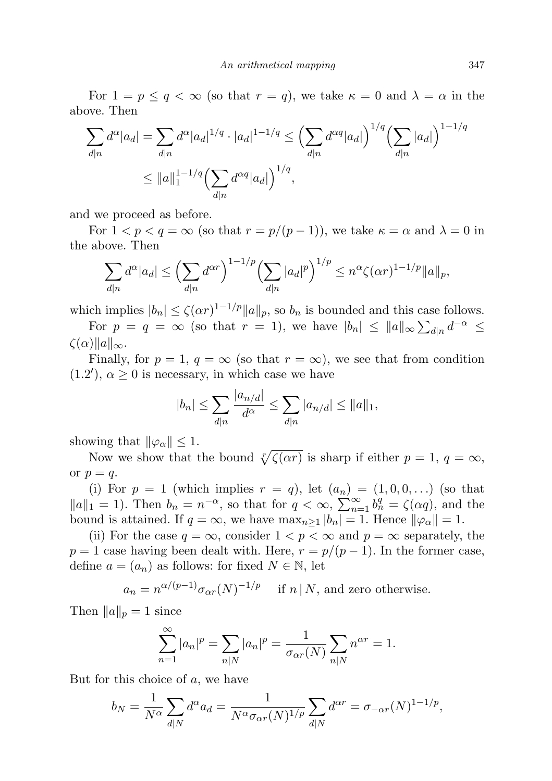For  $1 = p \le q < \infty$  (so that  $r = q$ ), we take  $\kappa = 0$  and  $\lambda = \alpha$  in the above. Then

$$
\sum_{d|n} d^{\alpha} |a_d| = \sum_{d|n} d^{\alpha} |a_d|^{1/q} \cdot |a_d|^{1-1/q} \le \left(\sum_{d|n} d^{\alpha q} |a_d|\right)^{1/q} \left(\sum_{d|n} |a_d|\right)^{1-1/q}
$$
  

$$
\le ||a||_1^{1-1/q} \left(\sum_{d|n} d^{\alpha q} |a_d|\right)^{1/q},
$$

and we proceed as before.

For  $1 < p < q = \infty$  (so that  $r = p/(p-1)$ ), we take  $\kappa = \alpha$  and  $\lambda = 0$  in the above. Then

$$
\sum_{d|n} d^{\alpha} |a_d| \le \left(\sum_{d|n} d^{\alpha r}\right)^{1-1/p} \left(\sum_{d|n} |a_d|^p\right)^{1/p} \le n^{\alpha} \zeta(\alpha r)^{1-1/p} ||a||_p,
$$

which implies  $|b_n| \leq \zeta(\alpha r)^{1-1/p} ||a||_p$ , so  $b_n$  is bounded and this case follows. For  $p = q = \infty$  (so that  $r = 1$ ), we have  $|b_n| \le ||a||_{\infty} \sum_{d|n} d^{-\alpha} \le$ 

 $\zeta(\alpha)$ ||a||<sub>∞</sub>.

Finally, for  $p = 1$ ,  $q = \infty$  (so that  $r = \infty$ ), we see that from condition  $(1.2')$ ,  $\alpha \geq 0$  is necessary, in which case we have

$$
|b_n| \le \sum_{d|n} \frac{|a_{n/d}|}{d^{\alpha}} \le \sum_{d|n} |a_{n/d}| \le ||a||_1,
$$

showing that  $\|\varphi_{\alpha}\| \leq 1$ .

Now we show that the bound  $\sqrt[r]{\zeta(\alpha r)}$  is sharp if either  $p = 1, q = \infty$ , or  $p = q$ .

(i) For  $p = 1$  (which implies  $r = q$ ), let  $(a_n) = (1, 0, 0, \ldots)$  (so that  $||a||_1 = 1$ ). Then  $b_n = n^{-\alpha}$ , so that for  $q < \infty$ ,  $\sum_{n=1}^{\infty} b_n^q = \zeta(\alpha q)$ , and the bound is attained. If  $q = \infty$ , we have  $\max_{n \geq 1} |b_n| = 1$ . Hence  $\|\varphi_{\alpha}\| = 1$ .

(ii) For the case  $q = \infty$ , consider  $1 < p < \infty$  and  $p = \infty$  separately, the  $p = 1$  case having been dealt with. Here,  $r = p/(p-1)$ . In the former case, define  $a = (a_n)$  as follows: for fixed  $N \in \mathbb{N}$ , let

 $a_n = n^{\alpha/(p-1)} \sigma_{\alpha r}(N)^{-1/p}$  if  $n \mid N$ , and zero otherwise.

Then  $||a||_p = 1$  since

$$
\sum_{n=1}^{\infty} |a_n|^p = \sum_{n|N} |a_n|^p = \frac{1}{\sigma_{\alpha r}(N)} \sum_{n|N} n^{\alpha r} = 1.
$$

But for this choice of  $a$ , we have

$$
b_N = \frac{1}{N^{\alpha}} \sum_{d|N} d^{\alpha} a_d = \frac{1}{N^{\alpha} \sigma_{\alpha r}(N)^{1/p}} \sum_{d|N} d^{\alpha r} = \sigma_{-\alpha r}(N)^{1-1/p},
$$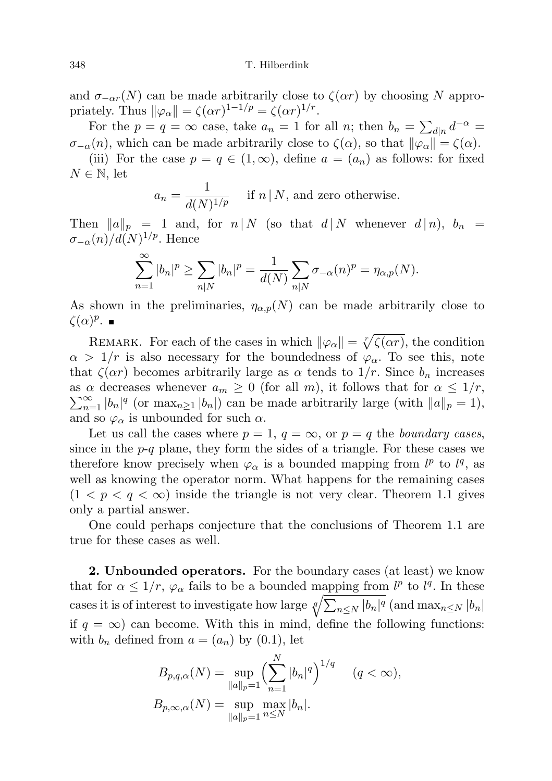and  $\sigma_{-\alpha r}(N)$  can be made arbitrarily close to  $\zeta(\alpha r)$  by choosing N appropriately. Thus  $\|\varphi_{\alpha}\| = \zeta(\alpha r)^{1-1/p} = \zeta(\alpha r)^{1/r}$ .

For the  $p = q = \infty$  case, take  $a_n = 1$  for all n; then  $b_n = \sum_{d|n} d^{-\alpha} =$  $\sigma_{-\alpha}(n)$ , which can be made arbitrarily close to  $\zeta(\alpha)$ , so that  $\|\varphi_{\alpha}\| = \zeta(\alpha)$ .

(iii) For the case  $p = q \in (1,\infty)$ , define  $a = (a_n)$  as follows: for fixed  $N \in \mathbb{N}$ , let

$$
a_n = \frac{1}{d(N)^{1/p}}
$$
 if  $n \mid N$ , and zero otherwise.

Then  $||a||_p = 1$  and, for  $n | N$  (so that  $d | N$  whenever  $d | n$ ),  $b_n =$  $\sigma_{-\alpha}(n)/d(N)^{1/p}$ . Hence

$$
\sum_{n=1}^{\infty} |b_n|^p \ge \sum_{n|N} |b_n|^p = \frac{1}{d(N)} \sum_{n|N} \sigma_{-\alpha}(n)^p = \eta_{\alpha,p}(N).
$$

As shown in the preliminaries,  $\eta_{\alpha,p}(N)$  can be made arbitrarily close to  $\zeta(\alpha)^p$ .

REMARK. For each of the cases in which  $\|\varphi_{\alpha}\| = \sqrt[r]{\zeta(\alpha r)}$ , the condition  $\alpha > 1/r$  is also necessary for the boundedness of  $\varphi_{\alpha}$ . To see this, note that  $\zeta(\alpha r)$  becomes arbitrarily large as  $\alpha$  tends to  $1/r$ . Since  $b_n$  increases  $\sum_{n=1}^{\infty} |b_n|^q$  (or  $\max_{n\geq 1} |b_n|$ ) can be made arbitrarily large (with  $||a||_p = 1$ ), as  $\alpha$  decreases whenever  $a_m \geq 0$  (for all m), it follows that for  $\alpha \leq 1/r$ , and so  $\varphi_{\alpha}$  is unbounded for such  $\alpha$ .

Let us call the cases where  $p = 1, q = \infty$ , or  $p = q$  the *boundary cases*, since in the  $p-q$  plane, they form the sides of a triangle. For these cases we therefore know precisely when  $\varphi_{\alpha}$  is a bounded mapping from  $l^{p}$  to  $l^{q}$ , as well as knowing the operator norm. What happens for the remaining cases  $(1 < p < q < \infty)$  inside the triangle is not very clear. Theorem 1.1 gives only a partial answer.

One could perhaps conjecture that the conclusions of Theorem 1.1 are true for these cases as well.

2. Unbounded operators. For the boundary cases (at least) we know that for  $\alpha \leq 1/r$ ,  $\varphi_{\alpha}$  fails to be a bounded mapping from  $l^p$  to  $l^q$ . In these cases it is of interest to investigate how large  $\sqrt[q]{\sum_{n\leq N} |b_n|^q}$  (and  $\max_{n\leq N} |b_n|$ if  $q = \infty$ ) can become. With this in mind, define the following functions: with  $b_n$  defined from  $a = (a_n)$  by  $(0.1)$ , let

$$
B_{p,q,\alpha}(N) = \sup_{\|a\|_p=1} \left(\sum_{n=1}^N |b_n|^q\right)^{1/q} \quad (q < \infty),
$$
  

$$
B_{p,\infty,\alpha}(N) = \sup_{\|a\|_p=1} \max_{n \le N} |b_n|.
$$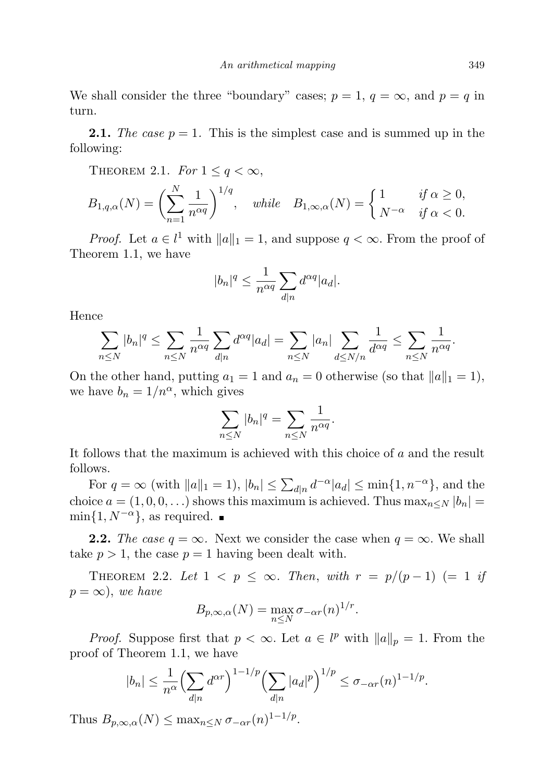We shall consider the three "boundary" cases;  $p = 1, q = \infty$ , and  $p = q$  in turn.

**2.1.** The case  $p = 1$ . This is the simplest case and is summed up in the following:

THEOREM 2.1. For  $1 \leq q < \infty$ ,

$$
B_{1,q,\alpha}(N) = \left(\sum_{n=1}^{N} \frac{1}{n^{\alpha q}}\right)^{1/q}, \quad \text{while} \quad B_{1,\infty,\alpha}(N) = \begin{cases} 1 & \text{if } \alpha \ge 0, \\ N^{-\alpha} & \text{if } \alpha < 0. \end{cases}
$$

*Proof.* Let  $a \in l^1$  with  $||a||_1 = 1$ , and suppose  $q < \infty$ . From the proof of Theorem 1.1, we have

$$
|b_n|^q \le \frac{1}{n^{\alpha q}} \sum_{d|n} d^{\alpha q} |a_d|.
$$

Hence

$$
\sum_{n\leq N}|b_n|^q\leq \sum_{n\leq N}\frac{1}{n^{\alpha q}}\sum_{d|n}d^{\alpha q}|a_d|=\sum_{n\leq N}|a_n|\sum_{d\leq N/n}\frac{1}{d^{\alpha q}}\leq \sum_{n\leq N}\frac{1}{n^{\alpha q}}.
$$

On the other hand, putting  $a_1 = 1$  and  $a_n = 0$  otherwise (so that  $||a||_1 = 1$ ), we have  $b_n = 1/n^{\alpha}$ , which gives

$$
\sum_{n\leq N} |b_n|^q = \sum_{n\leq N} \frac{1}{n^{\alpha q}}.
$$

It follows that the maximum is achieved with this choice of a and the result follows.

For  $q = \infty$  (with  $||a||_1 = 1$ ),  $|b_n| \leq \sum_{d|n} d^{-\alpha} |a_d| \leq \min\{1, n^{-\alpha}\}\$ , and the choice  $a = (1, 0, 0, \ldots)$  shows this maximum is achieved. Thus  $\max_{n \leq N} |b_n|$  $\min\{1, N^{-\alpha}\}\$ , as required.  $\blacksquare$ 

**2.2.** The case  $q = \infty$ . Next we consider the case when  $q = \infty$ . We shall take  $p > 1$ , the case  $p = 1$  having been dealt with.

THEOREM 2.2. Let  $1 < p \leq \infty$ . Then, with  $r = p/(p-1)$  (= 1 if  $p = \infty$ , we have

$$
B_{p,\infty,\alpha}(N) = \max_{n \leq N} \sigma_{-\alpha r}(n)^{1/r}.
$$

*Proof.* Suppose first that  $p < \infty$ . Let  $a \in l^p$  with  $||a||_p = 1$ . From the proof of Theorem 1.1, we have

$$
|b_n| \le \frac{1}{n^{\alpha}} \Big(\sum_{d|n} d^{\alpha r}\Big)^{1-1/p} \Big(\sum_{d|n} |a_d|^p\Big)^{1/p} \le \sigma_{-\alpha r}(n)^{1-1/p}.
$$

Thus  $B_{p,\infty,\alpha}(N) \leq \max_{n \leq N} \sigma_{-\alpha r}(n)^{1-1/p}$ .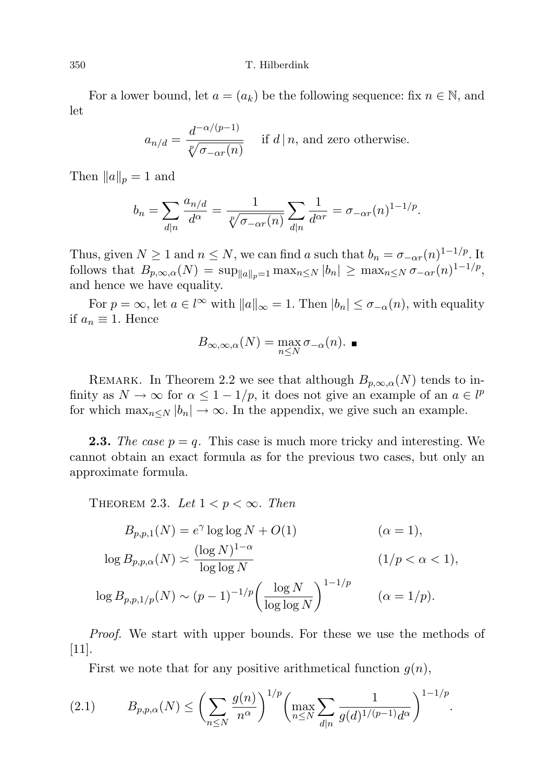#### 350 T. Hilberdink

For a lower bound, let  $a = (a_k)$  be the following sequence: fix  $n \in \mathbb{N}$ , and let

$$
a_{n/d} = \frac{d^{-\alpha/(p-1)}}{\sqrt[p]{\sigma_{-\alpha r}(n)}} \quad \text{if } d \mid n, \text{ and zero otherwise.}
$$

Then  $||a||_p = 1$  and

$$
b_n = \sum_{d|n} \frac{a_{n/d}}{d^{\alpha}} = \frac{1}{\sqrt[p]{\sigma_{\text{--}\alpha r}(n)}} \sum_{d|n} \frac{1}{d^{\alpha r}} = \sigma_{\text{--}\alpha r}(n)^{1-1/p}.
$$

Thus, given  $N \geq 1$  and  $n \leq N$ , we can find a such that  $b_n = \sigma_{-\alpha r}(n)^{1-1/p}$ . It follows that  $B_{p,\infty,\alpha}(N) = \sup_{\|a\|_p=1} \max_{n\leq N} |b_n| \geq \max_{n\leq N} \sigma_{-\alpha r}(n)^{1-1/p},$ and hence we have equality.

For  $p = \infty$ , let  $a \in l^{\infty}$  with  $||a||_{\infty} = 1$ . Then  $|b_n| \leq \sigma_{-\alpha}(n)$ , with equality if  $a_n \equiv 1$ . Hence

$$
B_{\infty,\infty,\alpha}(N) = \max_{n \leq N} \sigma_{-\alpha}(n). \blacksquare
$$

REMARK. In Theorem 2.2 we see that although  $B_{p,\infty,\alpha}(N)$  tends to infinity as  $N \to \infty$  for  $\alpha \leq 1 - 1/p$ , it does not give an example of an  $a \in l^p$ for which  $\max_{n\leq N} |b_n| \to \infty$ . In the appendix, we give such an example.

**2.3.** The case  $p = q$ . This case is much more tricky and interesting. We cannot obtain an exact formula as for the previous two cases, but only an approximate formula.

THEOREM 2.3. Let  $1 < p < \infty$ . Then

$$
B_{p,p,1}(N) = e^{\gamma} \log \log N + O(1)
$$
\n
$$
\log B_{p,p,\alpha}(N) \asymp \frac{(\log N)^{1-\alpha}}{\log \log N}
$$
\n
$$
\log B_{p,p,1/p}(N) \sim (p-1)^{-1/p} \left(\frac{\log N}{\log \log N}\right)^{1-1/p}
$$
\n
$$
(\alpha = 1/p).
$$

Proof. We start with upper bounds. For these we use the methods of  $|11|$ .

First we note that for any positive arithmetical function  $g(n)$ ,

$$
(2.1) \t B_{p,p,\alpha}(N) \le \left(\sum_{n\le N} \frac{g(n)}{n^{\alpha}}\right)^{1/p} \left(\max_{n\le N} \sum_{d|n} \frac{1}{g(d)^{1/(p-1)}d^{\alpha}}\right)^{1-1/p}.
$$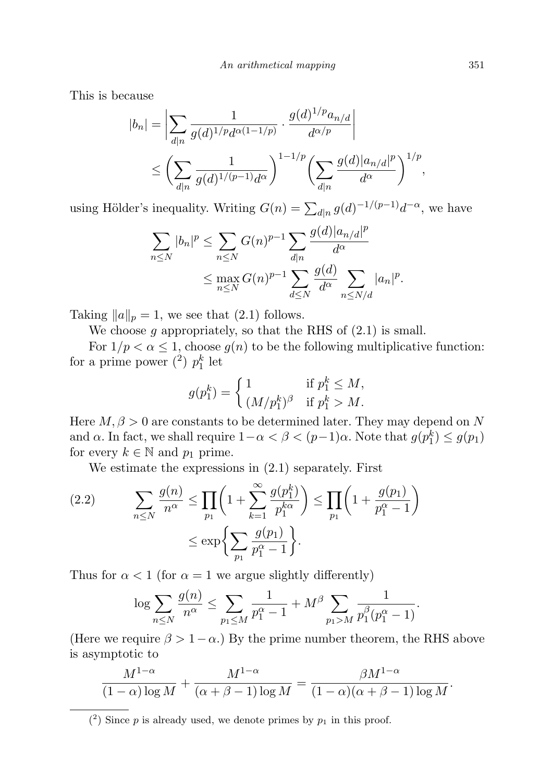This is because

$$
|b_n| = \left| \sum_{d|n} \frac{1}{g(d)^{1/p} d^{\alpha(1-1/p)}} \cdot \frac{g(d)^{1/p} a_{n/d}}{d^{\alpha/p}} \right|
$$
  
 
$$
\leq \left( \sum_{d|n} \frac{1}{g(d)^{1/(p-1)} d^{\alpha}} \right)^{1-1/p} \left( \sum_{d|n} \frac{g(d) |a_{n/d}|^p}{d^{\alpha}} \right)^{1/p},
$$

using Hölder's inequality. Writing  $G(n) = \sum_{d|n} g(d)^{-1/(p-1)} d^{-\alpha}$ , we have

$$
\sum_{n\leq N} |b_n|^p \leq \sum_{n\leq N} G(n)^{p-1} \sum_{d|n} \frac{g(d)|a_{n/d}|^p}{d^{\alpha}} \leq \max_{n\leq N} G(n)^{p-1} \sum_{d\leq N} \frac{g(d)}{d^{\alpha}} \sum_{n\leq N/d} |a_n|^p.
$$

Taking  $||a||_p = 1$ , we see that (2.1) follows.

We choose  $g$  appropriately, so that the RHS of  $(2.1)$  is small.

For  $1/p < \alpha \leq 1$ , choose  $g(n)$  to be the following multiplicative function: for a prime power  $\binom{2}{1} p_1^k$  let

$$
g(p_1^k) = \begin{cases} 1 & \text{if } p_1^k \le M, \\ (M/p_1^k)^\beta & \text{if } p_1^k > M. \end{cases}
$$

Here  $M, \beta > 0$  are constants to be determined later. They may depend on N and  $\alpha$ . In fact, we shall require  $1 - \alpha < \beta < (p-1)\alpha$ . Note that  $g(p_1^k) \leq g(p_1)$ for every  $k \in \mathbb{N}$  and  $p_1$  prime.

We estimate the expressions in (2.1) separately. First

(2.2) 
$$
\sum_{n \leq N} \frac{g(n)}{n^{\alpha}} \leq \prod_{p_1} \left( 1 + \sum_{k=1}^{\infty} \frac{g(p_1^k)}{p_1^{k\alpha}} \right) \leq \prod_{p_1} \left( 1 + \frac{g(p_1)}{p_1^{\alpha} - 1} \right)
$$

$$
\leq \exp \left\{ \sum_{p_1} \frac{g(p_1)}{p_1^{\alpha} - 1} \right\}.
$$

Thus for  $\alpha < 1$  (for  $\alpha = 1$  we argue slightly differently)

$$
\log \sum_{n \le N} \frac{g(n)}{n^{\alpha}} \le \sum_{p_1 \le M} \frac{1}{p_1^{\alpha} - 1} + M^{\beta} \sum_{p_1 > M} \frac{1}{p_1^{\beta}(p_1^{\alpha} - 1)}.
$$

(Here we require  $\beta > 1 - \alpha$ .) By the prime number theorem, the RHS above is asymptotic to

$$
\frac{M^{1-\alpha}}{(1-\alpha)\log M} + \frac{M^{1-\alpha}}{(\alpha+\beta-1)\log M} = \frac{\beta M^{1-\alpha}}{(1-\alpha)(\alpha+\beta-1)\log M}.
$$

 $(2)$  Since p is already used, we denote primes by  $p_1$  in this proof.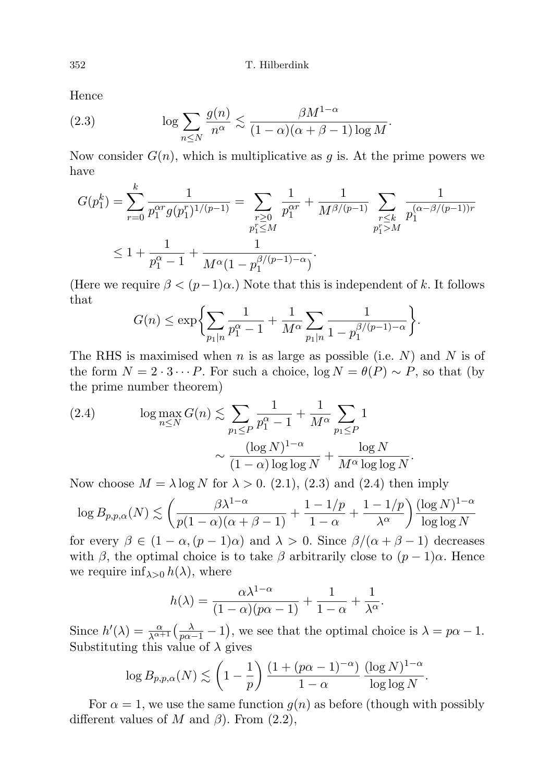352 T. Hilberdink

Hence

(2.3) 
$$
\log \sum_{n \leq N} \frac{g(n)}{n^{\alpha}} \lesssim \frac{\beta M^{1-\alpha}}{(1-\alpha)(\alpha+\beta-1)\log M}.
$$

Now consider  $G(n)$ , which is multiplicative as q is. At the prime powers we have

$$
G(p_1^k) = \sum_{r=0}^k \frac{1}{p_1^{\alpha r} g(p_1^r)^{1/(p-1)}} = \sum_{\substack{r \ge 0 \\ p_1^r \le M}} \frac{1}{p_1^{\alpha r}} + \frac{1}{M^{\beta/(p-1)}} \sum_{\substack{r \le k \\ p_1^r > M}} \frac{1}{p_1^{(\alpha-\beta/(p-1))r}}
$$
  

$$
\le 1 + \frac{1}{p_1^{\alpha} - 1} + \frac{1}{M^{\alpha} (1 - p_1^{\beta/(p-1)-\alpha})}.
$$

(Here we require  $\beta < (p-1)\alpha$ .) Note that this is independent of k. It follows that

$$
G(n) \le \exp\biggl\{\sum_{p_1|n} \frac{1}{p_1^{\alpha}-1} + \frac{1}{M^{\alpha}} \sum_{p_1|n} \frac{1}{1-p_1^{\beta/(p-1)-\alpha}}\biggr\}.
$$

The RHS is maximised when n is as large as possible (i.e.  $N$ ) and N is of the form  $N = 2 \cdot 3 \cdots P$ . For such a choice,  $\log N = \theta(P) \sim P$ , so that (by the prime number theorem)

(2.4) 
$$
\log \max_{n \le N} G(n) \lesssim \sum_{p_1 \le P} \frac{1}{p_1^{\alpha} - 1} + \frac{1}{M^{\alpha}} \sum_{p_1 \le P} 1
$$

$$
\sim \frac{(\log N)^{1-\alpha}}{(1-\alpha)\log\log N} + \frac{\log N}{M^{\alpha}\log\log N}.
$$

Now choose  $M = \lambda \log N$  for  $\lambda > 0$ . (2.1), (2.3) and (2.4) then imply

$$
\log B_{p,p,\alpha}(N) \lesssim \left(\frac{\beta\lambda^{1-\alpha}}{p(1-\alpha)(\alpha+\beta-1)}+\frac{1-1/p}{1-\alpha}+\frac{1-1/p}{\lambda^{\alpha}}\right) \frac{(\log N)^{1-\alpha}}{\log\log N}
$$

for every  $\beta \in (1 - \alpha, (p - 1)\alpha)$  and  $\lambda > 0$ . Since  $\beta/(\alpha + \beta - 1)$  decreases with  $\beta$ , the optimal choice is to take  $\beta$  arbitrarily close to  $(p-1)\alpha$ . Hence we require  $\inf_{\lambda>0} h(\lambda)$ , where

$$
h(\lambda) = \frac{\alpha \lambda^{1-\alpha}}{(1-\alpha)(p\alpha - 1)} + \frac{1}{1-\alpha} + \frac{1}{\lambda^{\alpha}}.
$$

Since  $h'(\lambda) = \frac{\alpha}{\lambda^{\alpha+1}} \left( \frac{\lambda}{p\alpha-1} - 1 \right)$ , we see that the optimal choice is  $\lambda = p\alpha - 1$ . Substituting this value of  $\lambda$  gives

$$
\log B_{p,p,\alpha}(N) \lesssim \left(1 - \frac{1}{p}\right) \frac{\left(1 + (p\alpha - 1)^{-\alpha}\right)}{1 - \alpha} \frac{(\log N)^{1 - \alpha}}{\log \log N}.
$$

For  $\alpha = 1$ , we use the same function  $g(n)$  as before (though with possibly different values of M and  $\beta$ ). From (2.2),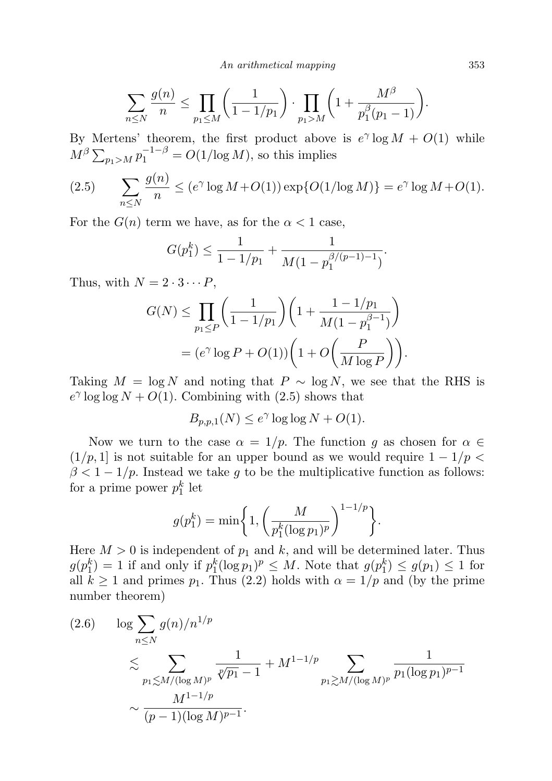An arithmetical mapping 353

$$
\sum_{n \leq N} \frac{g(n)}{n} \leq \prod_{p_1 \leq M} \left( \frac{1}{1 - 1/p_1} \right) \cdot \prod_{p_1 > M} \left( 1 + \frac{M^{\beta}}{p_1^{\beta}(p_1 - 1)} \right).
$$

By Mertens' theorem, the first product above is  $e^{\gamma} \log M + O(1)$  while  $M^{\beta} \sum_{p_1 > M} p_1^{-1-\beta} = O(1/\log M)$ , so this implies

(2.5) 
$$
\sum_{n \le N} \frac{g(n)}{n} \le (e^{\gamma} \log M + O(1)) \exp\{O(1/\log M)\} = e^{\gamma} \log M + O(1).
$$

For the  $G(n)$  term we have, as for the  $\alpha < 1$  case,

$$
G(p_1^k) \le \frac{1}{1 - 1/p_1} + \frac{1}{M(1 - p_1^{\beta/(p-1)-1})}.
$$

Thus, with  $N = 2 \cdot 3 \cdots P$ ,

$$
G(N) \le \prod_{p_1 \le P} \left( \frac{1}{1 - 1/p_1} \right) \left( 1 + \frac{1 - 1/p_1}{M(1 - p_1^{\beta - 1})} \right)
$$
  
=  $(e^{\gamma} \log P + O(1)) \left( 1 + O\left( \frac{P}{M \log P} \right) \right).$ 

Taking  $M = \log N$  and noting that  $P \sim \log N$ , we see that the RHS is  $e^{\gamma}$  log log  $N + O(1)$ . Combining with (2.5) shows that

$$
B_{p,p,1}(N) \le e^{\gamma} \log \log N + O(1).
$$

Now we turn to the case  $\alpha = 1/p$ . The function g as chosen for  $\alpha \in \mathbb{R}$  $(1/p, 1]$  is not suitable for an upper bound as we would require  $1 - 1/p$  $\beta < 1 - 1/p$ . Instead we take g to be the multiplicative function as follows: for a prime power  $p_1^k$  let

$$
g(p_1^k) = \min\bigg\{1, \bigg(\frac{M}{p_1^k(\log p_1)^p}\bigg)^{1-1/p}\bigg\}.
$$

Here  $M > 0$  is independent of  $p_1$  and k, and will be determined later. Thus  $g(p_1^k) = 1$  if and only if  $p_1^k(\log p_1)^p \leq M$ . Note that  $g(p_1^k) \leq g(p_1) \leq 1$  for all  $k \ge 1$  and primes  $p_1$ . Thus (2.2) holds with  $\alpha = 1/p$  and (by the prime number theorem)

$$
(2.6) \quad \log \sum_{n \le N} g(n)/n^{1/p}
$$
  
\$\lesssim \sum\_{p\_1 \lesssim M/(\log M)^p} \frac{1}{\sqrt[p]{p\_1} - 1} + M^{1-1/p} \sum\_{p\_1 \gtrsim M/(\log M)^p} \frac{1}{p\_1 (\log p\_1)^{p-1}}\$  
\$\sim \frac{M^{1-1/p}}{(p-1)(\log M)^{p-1}}\$.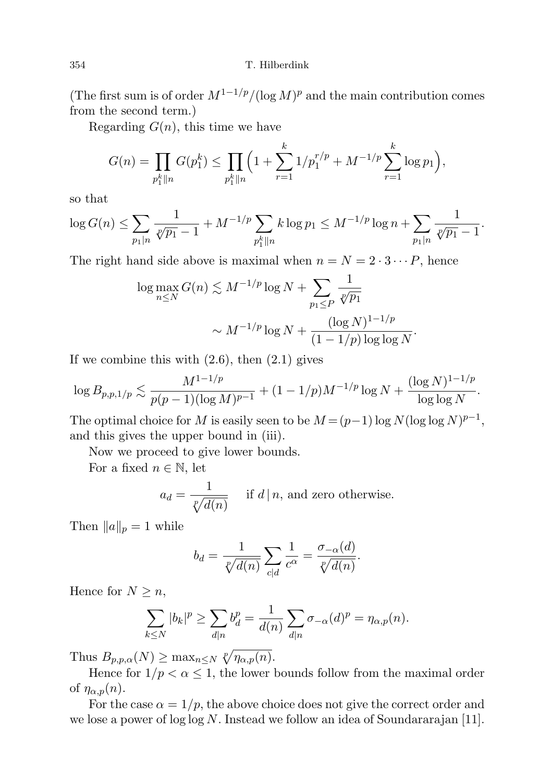(The first sum is of order  $M^{1-1/p}/(\log M)^p$  and the main contribution comes from the second term.)

Regarding  $G(n)$ , this time we have

$$
G(n) = \prod_{p_1^k \| n} G(p_1^k) \le \prod_{p_1^k \| n} \left(1 + \sum_{r=1}^k 1/p_1^{r/p} + M^{-1/p} \sum_{r=1}^k \log p_1\right),
$$

so that

$$
\log G(n) \le \sum_{p_1|n} \frac{1}{\sqrt[p]{p_1} - 1} + M^{-1/p} \sum_{p_1^k \| n} k \log p_1 \le M^{-1/p} \log n + \sum_{p_1|n} \frac{1}{\sqrt[p]{p_1} - 1}.
$$

The right hand side above is maximal when  $n = N = 2 \cdot 3 \cdots P$ , hence

$$
\log \max_{n \le N} G(n) \lesssim M^{-1/p} \log N + \sum_{p_1 \le P} \frac{1}{\sqrt[p]{p_1}} \sqrt[p]{\sqrt[p]{p_1}} \sim M^{-1/p} \log N + \frac{(\log N)^{1-1/p}}{(1 - 1/p) \log \log N}.
$$

If we combine this with  $(2.6)$ , then  $(2.1)$  gives

$$
\log B_{p,p,1/p} \lesssim \frac{M^{1-1/p}}{p(p-1)(\log M)^{p-1}} + (1-1/p)M^{-1/p}\log N + \frac{(\log N)^{1-1/p}}{\log \log N}.
$$

The optimal choice for M is easily seen to be  $M = (p-1) \log N(\log \log N)^{p-1}$ , and this gives the upper bound in (iii).

Now we proceed to give lower bounds.

For a fixed  $n \in \mathbb{N}$ , let

$$
a_d = \frac{1}{\sqrt[p]{d(n)}}
$$
 if  $d \mid n$ , and zero otherwise.

Then  $||a||_p = 1$  while

$$
b_d = \frac{1}{\sqrt[p]{d(n)}} \sum_{c|d} \frac{1}{c^{\alpha}} = \frac{\sigma_{-\alpha}(d)}{\sqrt[p]{d(n)}}.
$$

Hence for  $N \geq n$ ,

$$
\sum_{k\leq N} |b_k|^p \geq \sum_{d|n} b_d^p = \frac{1}{d(n)} \sum_{d|n} \sigma_{-\alpha}(d)^p = \eta_{\alpha,p}(n).
$$

Thus  $B_{p,p,\alpha}(N) \geq \max_{n \leq N} \sqrt[p]{\eta_{\alpha,p}(n)}$ .

Hence for  $1/p < \alpha \leq 1$ , the lower bounds follow from the maximal order of  $\eta_{\alpha,p}(n)$ .

For the case  $\alpha = 1/p$ , the above choice does not give the correct order and we lose a power of  $\log \log N$ . Instead we follow an idea of Soundararajan [11].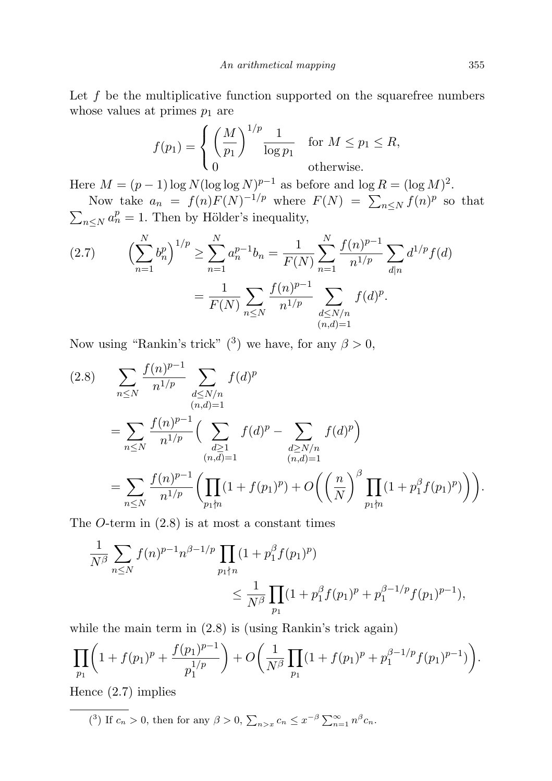Let  $f$  be the multiplicative function supported on the squarefree numbers whose values at primes  $p_1$  are

$$
f(p_1) = \begin{cases} \left(\frac{M}{p_1}\right)^{1/p} \frac{1}{\log p_1} & \text{for } M \leq p_1 \leq R, \\ 0 & \text{otherwise.} \end{cases}
$$

Here  $M = (p-1)\log N(\log \log N)^{p-1}$  as before and  $\log R = (\log M)^2$ . Now take  $a_n = f(n)F(N)^{-1/p}$  where  $F(N) = \sum_{n \leq N} f(n)^p$  so that

 $\sum_{n\leq N} a_n^p = 1$ . Then by Hölder's inequality,

$$
(2.7) \qquad \left(\sum_{n=1}^{N} b_n^p\right)^{1/p} \ge \sum_{n=1}^{N} a_n^{p-1} b_n = \frac{1}{F(N)} \sum_{n=1}^{N} \frac{f(n)^{p-1}}{n^{1/p}} \sum_{d|n} d^{1/p} f(d)
$$

$$
= \frac{1}{F(N)} \sum_{n \le N} \frac{f(n)^{p-1}}{n^{1/p}} \sum_{\substack{d \le N/n \\ (n,d)=1}} f(d)^p.
$$

Now using "Rankin's trick" (<sup>3</sup>) we have, for any  $\beta > 0$ ,

$$
(2.8) \sum_{n \leq N} \frac{f(n)^{p-1}}{n^{1/p}} \sum_{\substack{d \leq N/n \\ (n,d)=1}} f(d)^p
$$
  
= 
$$
\sum_{n \leq N} \frac{f(n)^{p-1}}{n^{1/p}} \Big( \sum_{\substack{d \geq 1 \\ (n,d)=1}} f(d)^p - \sum_{\substack{d \geq N/n \\ (n,d)=1}} f(d)^p \Big)
$$
  
= 
$$
\sum_{n \leq N} \frac{f(n)^{p-1}}{n^{1/p}} \Big( \prod_{p_1 \nmid n} (1 + f(p_1)^p) + O\Big(\Big(\frac{n}{N}\Big)^{\beta} \prod_{p_1 \nmid n} (1 + p_1^{\beta} f(p_1)^p)\Big)\Big).
$$

The  $O$ -term in  $(2.8)$  is at most a constant times

$$
\frac{1}{N^{\beta}} \sum_{n \le N} f(n)^{p-1} n^{\beta - 1/p} \prod_{p_1 \nmid n} (1 + p_1^{\beta} f(p_1)^p) \n\le \frac{1}{N^{\beta}} \prod_{p_1} (1 + p_1^{\beta} f(p_1)^p + p_1^{\beta - 1/p} f(p_1)^{p-1}),
$$

while the main term in  $(2.8)$  is (using Rankin's trick again)

$$
\prod_{p_1} \left( 1 + f(p_1)^p + \frac{f(p_1)^{p-1}}{p_1^{1/p}} \right) + O\left( \frac{1}{N^{\beta}} \prod_{p_1} (1 + f(p_1)^p + p_1^{\beta - 1/p} f(p_1)^{p-1}) \right).
$$

Hence (2.7) implies

<sup>(3)</sup> If 
$$
c_n > 0
$$
, then for any  $\beta > 0$ ,  $\sum_{n>x} c_n \leq x^{-\beta} \sum_{n=1}^{\infty} n^{\beta} c_n$ .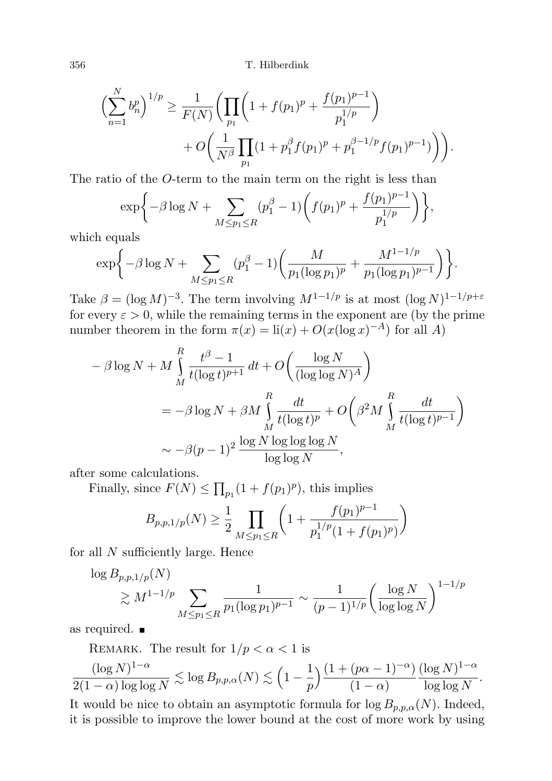356 T. Hilberdink

$$
\left(\sum_{n=1}^{N} b_n^p\right)^{1/p} \ge \frac{1}{F(N)} \left(\prod_{p_1} \left(1 + f(p_1)^p + \frac{f(p_1)^{p-1}}{p_1^{1/p}}\right) + O\left(\frac{1}{N^{\beta}} \prod_{p_1} (1 + p_1^{\beta} f(p_1)^p + p_1^{\beta - 1/p} f(p_1)^{p-1})\right)\right).
$$

The ratio of the O-term to the main term on the right is less than

$$
\exp\bigg\{-\beta \log N + \sum_{M \le p_1 \le R} (p_1^{\beta} - 1) \bigg(f(p_1)^p + \frac{f(p_1)^{p-1}}{p_1^{1/p}}\bigg)\bigg\},\,
$$

which equals

$$
\exp\bigg\{-\beta \log N + \sum_{M \le p_1 \le R} (p_1^{\beta} - 1) \bigg(\frac{M}{p_1(\log p_1)^p} + \frac{M^{1-1/p}}{p_1(\log p_1)^{p-1}}\bigg)\bigg\}.
$$

Take  $\beta = (\log M)^{-3}$ . The term involving  $M^{1-1/p}$  is at most  $(\log N)^{1-1/p+\varepsilon}$ for every  $\varepsilon > 0$ , while the remaining terms in the exponent are (by the prime number theorem in the form  $\pi(x) = \text{li}(x) + O(x(\log x)^{-A})$  for all A)

$$
- \beta \log N + M \int_{M}^{R} \frac{t^{\beta} - 1}{t(\log t)^{p+1}} dt + O\left(\frac{\log N}{(\log \log N)^{A}}\right)
$$
  
=  $-\beta \log N + \beta M \int_{M}^{R} \frac{dt}{t(\log t)^{p}} + O\left(\beta^{2} M \int_{M}^{R} \frac{dt}{t(\log t)^{p-1}}\right)$   
 $\sim -\beta(p-1)^{2} \frac{\log N \log \log \log N}{\log \log N},$ 

after some calculations.

Finally, since  $F(N) \leq \prod_{p_1} (1 + f(p_1)^p)$ , this implies

$$
B_{p,p,1/p}(N) \ge \frac{1}{2} \prod_{M \le p_1 \le R} \left( 1 + \frac{f(p_1)^{p-1}}{p_1^{1/p}(1+f(p_1)^p)} \right)
$$

for all N sufficiently large. Hence

$$
\log B_{p,p,1/p}(N) \geq M^{1-1/p} \sum_{M \leq p_1 \leq R} \frac{1}{p_1(\log p_1)^{p-1}} \sim \frac{1}{(p-1)^{1/p}} \left(\frac{\log N}{\log \log N}\right)^{1-1/p}
$$

as required.

REMARK. The result for  $1/p < \alpha < 1$  is

 $(\log N)^{1-\alpha}$  $\frac{(\log N)^{1-\alpha}}{2(1-\alpha)\log\log N} \lesssim \log B_{p,p,\alpha}(N) \lesssim \Big(1-\frac{1}{p}\Big)$ p  $\frac{(1 + (p\alpha - 1)^{-\alpha})}{\alpha}$  $(1 - \alpha)$  $(\log N)^{1-\alpha}$  $\frac{\log 1}{\log \log N}$ .

It would be nice to obtain an asymptotic formula for  $\log B_{p,p,\alpha}(N)$ . Indeed, it is possible to improve the lower bound at the cost of more work by using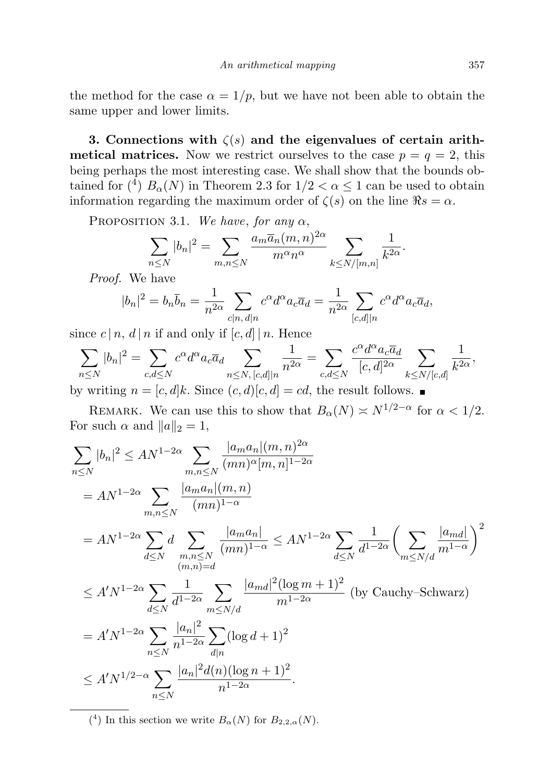the method for the case  $\alpha = 1/p$ , but we have not been able to obtain the same upper and lower limits.

3. Connections with  $\zeta(s)$  and the eigenvalues of certain arith**metical matrices.** Now we restrict ourselves to the case  $p = q = 2$ , this being perhaps the most interesting case. We shall show that the bounds obtained for (<sup>4</sup>)  $B_{\alpha}(N)$  in Theorem 2.3 for  $1/2 < \alpha \leq 1$  can be used to obtain information regarding the maximum order of  $\zeta(s)$  on the line  $\Re s = \alpha$ .

PROPOSITION 3.1. We have, for any  $\alpha$ ,

$$
\sum_{n\leq N}|b_n|^2=\sum_{m,n\leq N}\frac{a_m\overline{a}_n(m,n)^{2\alpha}}{m^{\alpha}n^{\alpha}}\sum_{k\leq N/[m,n]}\frac{1}{k^{2\alpha}}.
$$

Proof. We have

$$
|b_n|^2 = b_n \overline{b}_n = \frac{1}{n^{2\alpha}} \sum_{c|n, d|n} c^{\alpha} d^{\alpha} a_c \overline{a}_d = \frac{1}{n^{2\alpha}} \sum_{[c,d]|n} c^{\alpha} d^{\alpha} a_c \overline{a}_d,
$$

since  $c | n, d | n$  if and only if  $[c, d] | n$ . Hence

$$
\sum_{n\leq N} |b_n|^2 = \sum_{c,d\leq N} c^{\alpha} d^{\alpha} a_c \overline{a}_d \sum_{n\leq N, [c,d]|n} \frac{1}{n^{2\alpha}} = \sum_{c,d\leq N} \frac{c^{\alpha} d^{\alpha} a_c \overline{a}_d}{[c,d]^{2\alpha}} \sum_{k\leq N/[c,d]} \frac{1}{k^{2\alpha}},
$$
  
by writing  $n = [c,d]k$ . Since  $(c,d)[c,d] = cd$ , the result follows.

REMARK. We can use this to show that  $B_{\alpha}(N) \simeq N^{1/2-\alpha}$  for  $\alpha < 1/2$ . For such  $\alpha$  and  $||a||_2 = 1$ ,

$$
\sum_{n\leq N} |b_n|^2 \leq AN^{1-2\alpha} \sum_{m,n\leq N} \frac{|a_m a_n|(m,n)^{2\alpha}}{(mn)^{\alpha}[m,n]^{1-2\alpha}} \n= AN^{1-2\alpha} \sum_{m,n\leq N} \frac{|a_m a_n|(m,n)}{(mn)^{1-\alpha}} \n= AN^{1-2\alpha} \sum_{d\leq N} d \sum_{\substack{m,n\leq N\\(m,n)=d}} \frac{|a_m a_n|}{(mn)^{1-\alpha}} \leq AN^{1-2\alpha} \sum_{d\leq N} \frac{1}{d^{1-2\alpha}} \left(\sum_{m\leq N/d} \frac{|a_{md}|}{m^{1-\alpha}}\right)^2 \n\leq A'N^{1-2\alpha} \sum_{d\leq N} \frac{1}{d^{1-2\alpha}} \sum_{m\leq N/d} \frac{|a_{md}|^2 (\log m+1)^2}{m^{1-2\alpha}} \text{ (by Cauchy–Schwarz)} \n= A'N^{1-2\alpha} \sum_{n\leq N} \frac{|a_n|^2}{n^{1-2\alpha}} \sum_{d|n} (\log d+1)^2 \n\leq A'N^{1/2-\alpha} \sum_{n\leq N} \frac{|a_n|^2 d(n) (\log n+1)^2}{n^{1-2\alpha}}.
$$

<sup>(4)</sup> In this section we write  $B_{\alpha}(N)$  for  $B_{2,2,\alpha}(N)$ .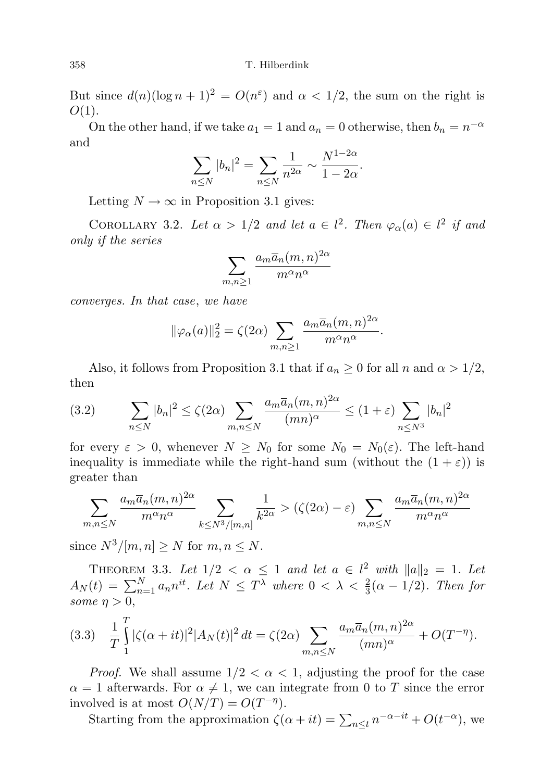But since  $d(n)(\log n + 1)^2 = O(n^{\epsilon})$  and  $\alpha < 1/2$ , the sum on the right is  $O(1)$ .

On the other hand, if we take  $a_1 = 1$  and  $a_n = 0$  otherwise, then  $b_n = n^{-\alpha}$ and

$$
\sum_{n\leq N} |b_n|^2 = \sum_{n\leq N} \frac{1}{n^{2\alpha}} \sim \frac{N^{1-2\alpha}}{1-2\alpha}.
$$

Letting  $N \to \infty$  in Proposition 3.1 gives:

COROLLARY 3.2. Let  $\alpha > 1/2$  and let  $a \in l^2$ . Then  $\varphi_{\alpha}(a) \in l^2$  if and only if the series

$$
\sum_{m,n\geq 1}\frac{a_m\overline{a}_n(m,n)^{2\alpha}}{m^{\alpha}n^{\alpha}}
$$

converges. In that case, we have

$$
\|\varphi_{\alpha}(a)\|_{2}^{2} = \zeta(2\alpha) \sum_{m,n\geq 1} \frac{a_{m}\overline{a}_{n}(m,n)^{2\alpha}}{m^{\alpha}n^{\alpha}}.
$$

Also, it follows from Proposition 3.1 that if  $a_n \geq 0$  for all n and  $\alpha > 1/2$ , then

(3.2) 
$$
\sum_{n\leq N} |b_n|^2 \leq \zeta(2\alpha) \sum_{m,n\leq N} \frac{a_m \overline{a}_n(m,n)^{2\alpha}}{(mn)^\alpha} \leq (1+\varepsilon) \sum_{n\leq N^3} |b_n|^2
$$

for every  $\varepsilon > 0$ , whenever  $N \geq N_0$  for some  $N_0 = N_0(\varepsilon)$ . The left-hand inequality is immediate while the right-hand sum (without the  $(1 + \varepsilon)$ ) is greater than

$$
\sum_{m,n\leq N} \frac{a_m \overline{a}_n(m,n)^{2\alpha}}{m^{\alpha}n^{\alpha}} \sum_{k\leq N^3/[m,n]} \frac{1}{k^{2\alpha}} > (\zeta(2\alpha) - \varepsilon) \sum_{m,n\leq N} \frac{a_m \overline{a}_n(m,n)^{2\alpha}}{m^{\alpha}n^{\alpha}}
$$

since  $N^3/[m, n] \geq N$  for  $m, n \leq N$ .

THEOREM 3.3. Let  $1/2 < \alpha \leq 1$  and let  $a \in l^2$  with  $||a||_2 = 1$ . Let  $A_N(t) = \sum_{n=1}^N a_n n^{it}$ . Let  $N \leq T^{\lambda}$  where  $0 < \lambda < \frac{2}{3}(\alpha - 1/2)$ . Then for some  $\eta > 0$ ,

$$
(3.3) \quad \frac{1}{T} \int_{1}^{T} |\zeta(\alpha+it)|^2 |A_N(t)|^2 \, dt = \zeta(2\alpha) \sum_{m,n \le N} \frac{a_m \overline{a}_n(m,n)^{2\alpha}}{(mn)^{\alpha}} + O(T^{-\eta}).
$$

*Proof.* We shall assume  $1/2 < \alpha < 1$ , adjusting the proof for the case  $\alpha = 1$  afterwards. For  $\alpha \neq 1$ , we can integrate from 0 to T since the error involved is at most  $O(N/T) = O(T^{-\eta}).$ 

Starting from the approximation  $\zeta(\alpha + it) = \sum_{n \leq t} n^{-\alpha - it} + O(t^{-\alpha})$ , we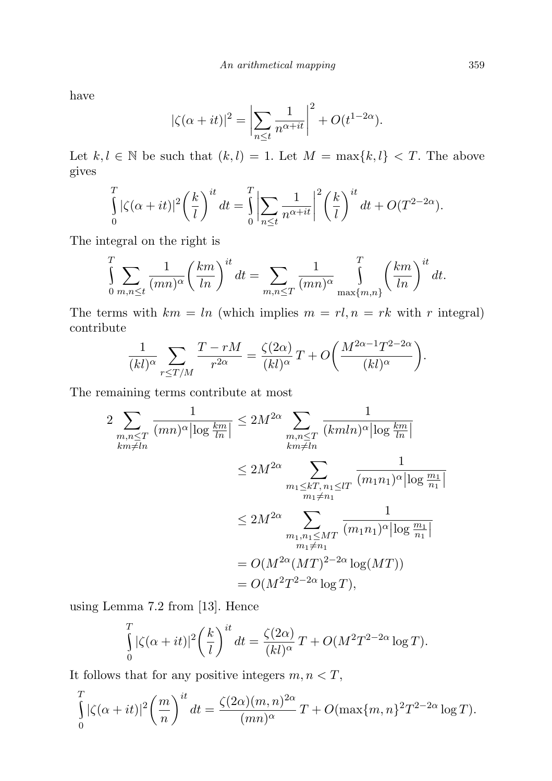have

$$
|\zeta(\alpha+it)|^2 = \left| \sum_{n \le t} \frac{1}{n^{\alpha+it}} \right|^2 + O(t^{1-2\alpha}).
$$

Let  $k, l \in \mathbb{N}$  be such that  $(k, l) = 1$ . Let  $M = \max\{k, l\} < T$ . The above gives

$$
\int_{0}^{T} |\zeta(\alpha+it)|^2 \left(\frac{k}{l}\right)^{it} dt = \int_{0}^{T} \left| \sum_{n \le t} \frac{1}{n^{\alpha+it}} \right|^2 \left(\frac{k}{l}\right)^{it} dt + O(T^{2-2\alpha}).
$$

The integral on the right is

$$
\int_{0}^{T} \sum_{m,n \leq t} \frac{1}{(mn)^{\alpha}} \left(\frac{km}{ln}\right)^{it} dt = \sum_{m,n \leq T} \frac{1}{(mn)^{\alpha}} \int_{\max\{m,n\}}^{T} \left(\frac{km}{ln}\right)^{it} dt.
$$

The terms with  $km = ln$  (which implies  $m = rl, n = rk$  with r integral) contribute

$$
\frac{1}{(kl)^{\alpha}} \sum_{r \leq T/M} \frac{T - rM}{r^{2\alpha}} = \frac{\zeta(2\alpha)}{(kl)^{\alpha}} T + O\left(\frac{M^{2\alpha - 1}T^{2 - 2\alpha}}{(kl)^{\alpha}}\right).
$$

The remaining terms contribute at most

$$
2 \sum_{\substack{m,n \leq T \\ km \neq ln}} \frac{1}{(mn)^{\alpha} |\log \frac{km}{ln}|} \leq 2M^{2\alpha} \sum_{\substack{m,n \leq T \\ km \neq ln}} \frac{1}{(kmln)^{\alpha} |\log \frac{km}{ln}|}
$$
  

$$
\leq 2M^{2\alpha} \sum_{\substack{m_1 \leq kT, n_1 \leq lT \\ m_1 \neq n_1}} \frac{1}{(m_1n_1)^{\alpha} |\log \frac{m_1}{n_1}|}
$$
  

$$
\leq 2M^{2\alpha} \sum_{\substack{m_1, n_1 \leq MT \\ m_1 \neq n_1}} \frac{1}{(m_1n_1)^{\alpha} |\log \frac{m_1}{n_1}|}
$$
  

$$
= O(M^{2\alpha} (MT)^{2-2\alpha} \log (MT))
$$
  

$$
= O(M^{2}T^{2-2\alpha} \log T),
$$

using Lemma 7.2 from [13]. Hence

$$
\int_{0}^{T} |\zeta(\alpha+it)|^2 \left(\frac{k}{l}\right)^{it} dt = \frac{\zeta(2\alpha)}{(kl)^{\alpha}} T + O(M^2 T^{2-2\alpha} \log T).
$$

It follows that for any positive integers  $m, n < T$ ,

$$
\int_{0}^{T} |\zeta(\alpha+it)|^2 \left(\frac{m}{n}\right)^{it} dt = \frac{\zeta(2\alpha)(m,n)^{2\alpha}}{(mn)^{\alpha}} T + O(\max\{m,n\}^2 T^{2-2\alpha} \log T).
$$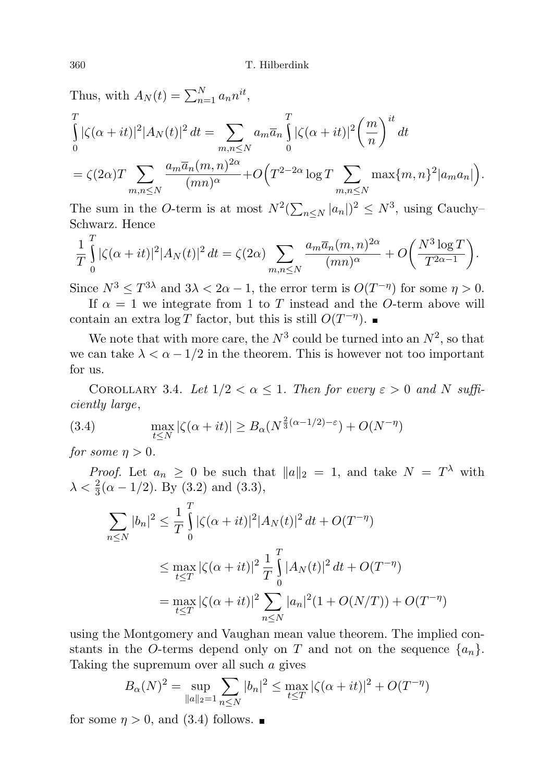Thus, with 
$$
A_N(t) = \sum_{n=1}^N a_n n^{it}
$$
,  
\n
$$
\int_0^T |\zeta(\alpha+it)|^2 |A_N(t)|^2 dt = \sum_{\substack{m,n \le N}} a_m \overline{a}_n \int_0^T |\zeta(\alpha+it)|^2 \left(\frac{m}{n}\right)^{it} dt
$$
\n
$$
= \zeta(2\alpha) T \sum_{\substack{m,n \le N}} \frac{a_m \overline{a}_n (m,n)^{2\alpha}}{(mn)^{\alpha}} + O\left(T^{2-2\alpha} \log T \sum_{\substack{m,n \le N}} \max\{m,n\}^2 |a_m a_n|\right).
$$

The sum in the O-term is at most  $N^2(\sum_{n\leq N} |a_n|)^2 \leq N^3$ , using Cauchy-Schwarz. Hence

$$
\frac{1}{T}\int_{0}^{T}|\zeta(\alpha+it)|^{2}|A_{N}(t)|^{2} dt = \zeta(2\alpha) \sum_{m,n\leq N} \frac{a_{m}\overline{a}_{n}(m,n)^{2\alpha}}{(mn)^{\alpha}} + O\bigg(\frac{N^{3}\log T}{T^{2\alpha-1}}\bigg).
$$

Since  $N^3 \leq T^{3\lambda}$  and  $3\lambda < 2\alpha - 1$ , the error term is  $O(T^{-\eta})$  for some  $\eta > 0$ .

If  $\alpha = 1$  we integrate from 1 to T instead and the O-term above will contain an extra  $\log T$  factor, but this is still  $O(T^{-\eta})$ .

We note that with more care, the  $N^3$  could be turned into an  $N^2$ , so that we can take  $\lambda < \alpha - 1/2$  in the theorem. This is however not too important for us.

COROLLARY 3.4. Let  $1/2 < \alpha \leq 1$ . Then for every  $\varepsilon > 0$  and N sufficiently large,

(3.4) 
$$
\max_{t \leq N} |\zeta(\alpha + it)| \geq B_{\alpha}(N^{\frac{2}{3}(\alpha - 1/2) - \varepsilon}) + O(N^{-\eta})
$$

for some  $\eta > 0$ .

*Proof.* Let  $a_n \geq 0$  be such that  $||a||_2 = 1$ , and take  $N = T<sup>\lambda</sup>$  with  $\lambda < \frac{2}{3}(\alpha - 1/2)$ . By (3.2) and (3.3),

$$
\sum_{n \le N} |b_n|^2 \le \frac{1}{T} \int_0^T |\zeta(\alpha + it)|^2 |A_N(t)|^2 dt + O(T^{-\eta})
$$
  

$$
\le \max_{t \le T} |\zeta(\alpha + it)|^2 \frac{1}{T} \int_0^T |A_N(t)|^2 dt + O(T^{-\eta})
$$
  

$$
= \max_{t \le T} |\zeta(\alpha + it)|^2 \sum_{n \le N} |a_n|^2 (1 + O(N/T)) + O(T^{-\eta})
$$

using the Montgomery and Vaughan mean value theorem. The implied constants in the O-terms depend only on T and not on the sequence  $\{a_n\}$ . Taking the supremum over all such a gives

$$
B_{\alpha}(N)^{2} = \sup_{\|a\|_{2}=1} \sum_{n\leq N} |b_{n}|^{2} \leq \max_{t\leq T} |\zeta(\alpha+it)|^{2} + O(T^{-\eta})
$$

for some  $\eta > 0$ , and (3.4) follows.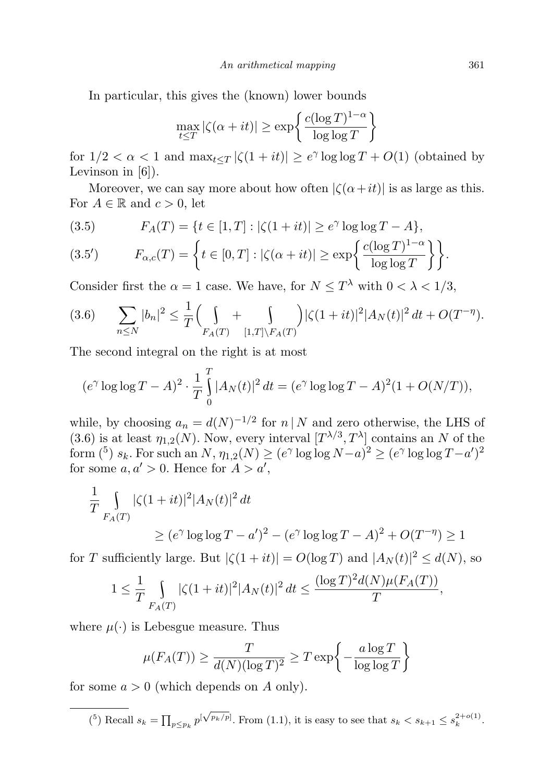In particular, this gives the (known) lower bounds

$$
\max_{t \le T} |\zeta(\alpha + it)| \ge \exp\left\{\frac{c(\log T)^{1-\alpha}}{\log \log T}\right\}
$$

for  $1/2 < \alpha < 1$  and  $\max_{t \leq T} |\zeta(1+it)| \geq e^{\gamma} \log \log T + O(1)$  (obtained by Levinson in [6]).

Moreover, we can say more about how often  $|\zeta(\alpha+it)|$  is as large as this. For  $A \in \mathbb{R}$  and  $c > 0$ , let

(3.5) 
$$
F_A(T) = \{t \in [1, T] : |\zeta(1 + it)| \ge e^{\gamma} \log \log T - A\},\
$$

(3.5') 
$$
F_{\alpha,c}(T) = \left\{ t \in [0,T] : |\zeta(\alpha+it)| \ge \exp\left\{ \frac{c(\log T)^{1-\alpha}}{\log \log T} \right\} \right\}.
$$

Consider first the  $\alpha = 1$  case. We have, for  $N \leq T^{\lambda}$  with  $0 < \lambda < 1/3$ ,

$$
(3.6) \qquad \sum_{n\leq N} |b_n|^2 \leq \frac{1}{T} \Big( \int\limits_{F_A(T)} + \int\limits_{[1,T]\backslash F_A(T)} \Big) |\zeta(1+it)|^2 |A_N(t)|^2 \, dt + O(T^{-\eta}).
$$

The second integral on the right is at most

$$
(e^{\gamma} \log \log T - A)^2 \cdot \frac{1}{T} \int_{0}^{T} |A_N(t)|^2 dt = (e^{\gamma} \log \log T - A)^2 (1 + O(N/T)),
$$

while, by choosing  $a_n = d(N)^{-1/2}$  for  $n | N$  and zero otherwise, the LHS of (3.6) is at least  $\eta_{1,2}(N)$ . Now, every interval  $[T^{\lambda/3}, T^{\lambda}]$  contains an N of the form (<sup>5</sup>)  $s_k$ . For such an  $N$ ,  $\eta_{1,2}(N) \ge (e^{\gamma} \log \log N - a)^2 \ge (e^{\gamma} \log \log T - a')^2$ for some  $a, a' > 0$ . Hence for  $A > a'$ ,

$$
\frac{1}{T} \int_{F_A(T)} |\zeta(1+it)|^2 |A_N(t)|^2 dt
$$
  
\n
$$
\geq (e^{\gamma} \log \log T - a')^2 - (e^{\gamma} \log \log T - A)^2 + O(T^{-\eta}) \geq 1
$$

for T sufficiently large. But  $|\zeta(1+it)| = O(\log T)$  and  $|A_N(t)|^2 \le d(N)$ , so

$$
1 \leq \frac{1}{T} \int_{F_A(T)} |\zeta(1+it)|^2 |A_N(t)|^2 dt \leq \frac{(\log T)^2 d(N) \mu(F_A(T))}{T},
$$

where  $\mu(\cdot)$  is Lebesgue measure. Thus

$$
\mu(F_A(T)) \ge \frac{T}{d(N)(\log T)^2} \ge T \exp\left\{-\frac{a\log T}{\log \log T}\right\}
$$

for some  $a > 0$  (which depends on A only).

(<sup>5</sup>) Recall  $s_k = \prod_{p \leq p_k} p^{\left[\sqrt{p_k/p}\right]}$ . From (1.1), it is easy to see that  $s_k < s_{k+1} \leq s_k^{2+o(1)}$ .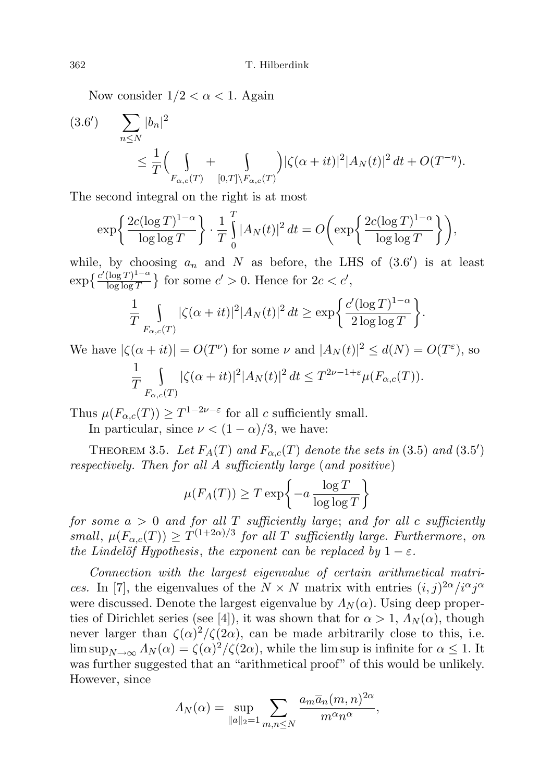Now consider  $1/2 < \alpha < 1$ . Again

$$
(3.6') \qquad \sum_{n \le N} |b_n|^2 \le \frac{1}{T} \Big( \int_{F_{\alpha,c}(T)} + \int_{[0,T] \setminus F_{\alpha,c}(T)} \Big) |\zeta(\alpha+it)|^2 |A_N(t)|^2 dt + O(T^{-\eta}).
$$

The second integral on the right is at most

$$
\exp\left\{\frac{2c(\log T)^{1-\alpha}}{\log\log T}\right\} \cdot \frac{1}{T} \int_{0}^{T} |A_N(t)|^2 dt = O\left(\exp\left\{\frac{2c(\log T)^{1-\alpha}}{\log\log T}\right\}\right),\,
$$

while, by choosing  $a_n$  and N as before, the LHS of  $(3.6')$  is at least  $\exp\left\{\frac{c'(\log T)^{1-\alpha}}{\log\log T}\right\}$  $\frac{(\log T)^{1-\alpha}}{\log \log T}$  for some  $c' > 0$ . Hence for  $2c < c'$ ,

$$
\frac{1}{T} \int\limits_{F_{\alpha,c}(T)} |\zeta(\alpha+it)|^2 |A_N(t)|^2 dt \ge \exp\bigg{\frac{c'(\log T)^{1-\alpha}}{2\log\log T}}\bigg\}.
$$

We have  $|\zeta(\alpha+it)| = O(T^{\nu})$  for some  $\nu$  and  $|A_N(t)|^2 \le d(N) = O(T^{\varepsilon})$ , so

$$
\frac{1}{T} \int\limits_{F_{\alpha,c}(T)} |\zeta(\alpha+it)|^2 |A_N(t)|^2 dt \leq T^{2\nu - 1 + \varepsilon} \mu(F_{\alpha,c}(T)).
$$

Thus  $\mu(F_{\alpha,c}(T)) \geq T^{1-2\nu-\varepsilon}$  for all c sufficiently small.

In particular, since  $\nu < (1 - \alpha)/3$ , we have:

THEOREM 3.5. Let  $F_A(T)$  and  $F_{\alpha,c}(T)$  denote the sets in (3.5) and (3.5') respectively. Then for all A sufficiently large (and positive)

$$
\mu(F_A(T)) \ge T \exp\left\{-a \frac{\log T}{\log \log T}\right\}
$$

for some  $a > 0$  and for all T sufficiently large; and for all c sufficiently small,  $\mu(F_{\alpha,c}(T)) \geq T^{(1+2\alpha)/3}$  for all T sufficiently large. Furthermore, on the Lindelöf Hypothesis, the exponent can be replaced by  $1 - \varepsilon$ .

Connection with the largest eigenvalue of certain arithmetical matrices. In [7], the eigenvalues of the  $N \times N$  matrix with entries  $(i, j)^{2\alpha}/i^{\alpha}j^{\alpha}$ were discussed. Denote the largest eigenvalue by  $\Lambda_N(\alpha)$ . Using deep properties of Dirichlet series (see [4]), it was shown that for  $\alpha > 1$ ,  $\Lambda_N(\alpha)$ , though never larger than  $\zeta(\alpha)^2/\zeta(2\alpha)$ , can be made arbitrarily close to this, i.e.  $\limsup_{N\to\infty} \Lambda_N(\alpha) = \frac{\zeta(\alpha)^2}{\zeta(2\alpha)}$ , while the lim sup is infinite for  $\alpha \leq 1$ . It was further suggested that an "arithmetical proof" of this would be unlikely. However, since

$$
\Lambda_N(\alpha) = \sup_{\|a\|_2 = 1} \sum_{m,n \le N} \frac{a_m \overline{a}_n(m,n)^{2\alpha}}{m^{\alpha} n^{\alpha}},
$$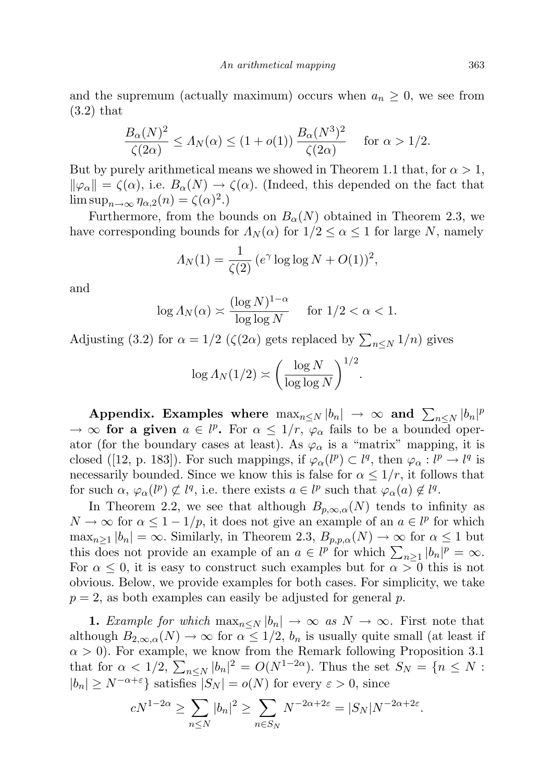and the supremum (actually maximum) occurs when  $a_n \geq 0$ , we see from (3.2) that

$$
\frac{B_{\alpha}(N)^{2}}{\zeta(2\alpha)} \le A_{N}(\alpha) \le (1 + o(1)) \frac{B_{\alpha}(N^{3})^{2}}{\zeta(2\alpha)} \quad \text{for } \alpha > 1/2.
$$

But by purely arithmetical means we showed in Theorem 1.1 that, for  $\alpha > 1$ ,  $\|\varphi_{\alpha}\| = \zeta(\alpha)$ , i.e.  $B_{\alpha}(N) \to \zeta(\alpha)$ . (Indeed, this depended on the fact that  $\limsup_{n\to\infty} \eta_{\alpha,2}(n) = \zeta(\alpha)^2.$ 

Furthermore, from the bounds on  $B_{\alpha}(N)$  obtained in Theorem 2.3, we have corresponding bounds for  $\Lambda_N(\alpha)$  for  $1/2 \leq \alpha \leq 1$  for large N, namely

$$
\Lambda_N(1) = \frac{1}{\zeta(2)} \left( e^{\gamma} \log \log N + O(1) \right)^2,
$$

and

$$
\log \Lambda_N(\alpha) \asymp \frac{(\log N)^{1-\alpha}}{\log \log N} \quad \text{ for } 1/2 < \alpha < 1.
$$

Adjusting (3.2) for  $\alpha = 1/2$  ( $\zeta(2\alpha)$  gets replaced by  $\sum_{n \leq N} 1/n$ ) gives

$$
\log \Lambda_N(1/2) \asymp \left(\frac{\log N}{\log \log N}\right)^{1/2}
$$

.

Appendix. Examples where  $\max_{n\leq N}|b_n|\to\infty$  and  $\sum_{n\leq N}|b_n|^p$  $\rightarrow \infty$  for a given  $a \in l^p$ . For  $\alpha \leq 1/r$ ,  $\varphi_\alpha$  fails to be a bounded operator (for the boundary cases at least). As  $\varphi_{\alpha}$  is a "matrix" mapping, it is closed ([12, p. 183]). For such mappings, if  $\varphi_{\alpha}(l^p) \subset l^q$ , then  $\varphi_{\alpha}: l^p \to l^q$  is necessarily bounded. Since we know this is false for  $\alpha \leq 1/r$ , it follows that for such  $\alpha$ ,  $\varphi_{\alpha}(l^p) \not\subset l^q$ , i.e. there exists  $a \in l^p$  such that  $\varphi_{\alpha}(a) \not\in l^q$ .

In Theorem 2.2, we see that although  $B_{p,\infty,\alpha}(N)$  tends to infinity as  $N \to \infty$  for  $\alpha \leq 1 - 1/p$ , it does not give an example of an  $a \in l^p$  for which  $\max_{n\geq 1} |b_n| = \infty$ . Similarly, in Theorem 2.3,  $B_{p,p,\alpha}(N) \to \infty$  for  $\alpha \leq 1$  but this does not provide an example of an  $a \in l^p$  for which  $\sum_{n\geq 1} |b_n|^p = \infty$ . For  $\alpha \leq 0$ , it is easy to construct such examples but for  $\alpha > 0$  this is not obvious. Below, we provide examples for both cases. For simplicity, we take  $p = 2$ , as both examples can easily be adjusted for general p.

1. Example for which  $\max_{n\leq N} |b_n| \to \infty$  as  $N \to \infty$ . First note that although  $B_{2,\infty,\alpha}(N) \to \infty$  for  $\alpha \leq 1/2$ ,  $b_n$  is usually quite small (at least if  $\alpha > 0$ ). For example, we know from the Remark following Proposition 3.1 that for  $\alpha < 1/2$ ,  $\sum_{n \le N} |b_n|^2 = O(N^{1-2\alpha})$ . Thus the set  $S_N = \{n \le N:$  $|b_n| \geq N^{-\alpha+\varepsilon}$  satisfies  $|S_N| = o(N)$  for every  $\varepsilon > 0$ , since

$$
cN^{1-2\alpha} \ge \sum_{n \le N} |b_n|^2 \ge \sum_{n \in S_N} N^{-2\alpha + 2\varepsilon} = |S_N| N^{-2\alpha + 2\varepsilon}.
$$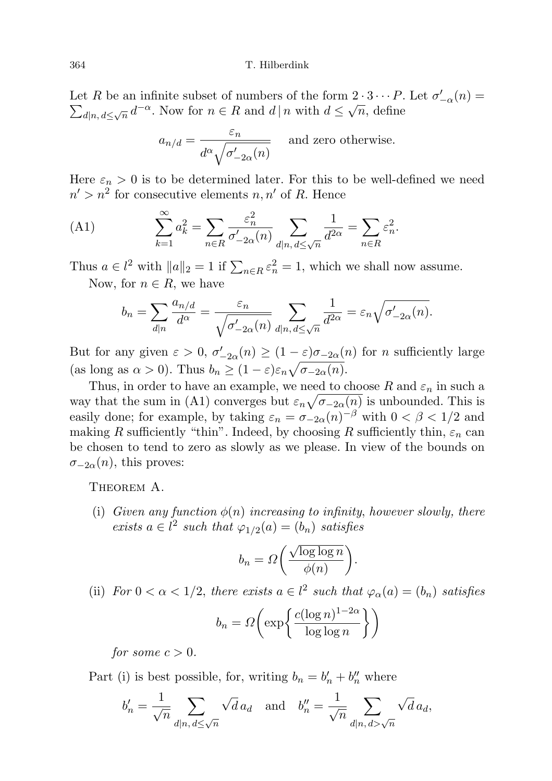Let R be an infinite subset of numbers of the form  $2 \cdot 3 \cdots P$ . Let  $\sigma'_{-\alpha}(n) = \sum_{d|n} d \leq \sqrt{n}$ , define  $d_{n,d} \leq \sqrt{n} d^{-\alpha}$ . Now for  $n \in R$  and  $d | n$  with  $d \leq \sqrt{n}$ , define

$$
a_{n/d} = \frac{\varepsilon_n}{d^{\alpha} \sqrt{\sigma'_{-2\alpha}(n)}}
$$
 and zero otherwise.

Here  $\varepsilon_n > 0$  is to be determined later. For this to be well-defined we need  $n' > n^2$  for consecutive elements  $n, n'$  of R. Hence

(A1) 
$$
\sum_{k=1}^{\infty} a_k^2 = \sum_{n \in R} \frac{\varepsilon_n^2}{\sigma'_{-2\alpha}(n)} \sum_{d|n, d \le \sqrt{n}} \frac{1}{d^{2\alpha}} = \sum_{n \in R} \varepsilon_n^2.
$$

Thus  $a \in l^2$  with  $||a||_2 = 1$  if  $\sum_{n \in R} \varepsilon_n^2 = 1$ , which we shall now assume. Now, for  $n \in R$ , we have

$$
b_n = \sum_{d|n} \frac{a_{n/d}}{d^{\alpha}} = \frac{\varepsilon_n}{\sqrt{\sigma'_{-2\alpha}(n)}} \sum_{d|n, d \leq \sqrt{n}} \frac{1}{d^{2\alpha}} = \varepsilon_n \sqrt{\sigma'_{-2\alpha}(n)}.
$$

But for any given  $\varepsilon > 0$ ,  $\sigma'_{-2\alpha}(n) \ge (1 - \varepsilon)\sigma_{-2\alpha}(n)$  for *n* sufficiently large (as long as  $\alpha > 0$ ). Thus  $b_n \geq (1 - \varepsilon)\varepsilon_n \sqrt{\sigma_{-2\alpha}(n)}$ .

Thus, in order to have an example, we need to choose R and  $\varepsilon_n$  in such a way that the sum in (A1) converges but  $\varepsilon_n \sqrt{\sigma_{-2\alpha}(n)}$  is unbounded. This is easily done; for example, by taking  $\varepsilon_n = \sigma_{-2\alpha}(n)^{-\beta}$  with  $0 < \beta < 1/2$  and making R sufficiently "thin". Indeed, by choosing R sufficiently thin,  $\varepsilon_n$  can be chosen to tend to zero as slowly as we please. In view of the bounds on  $\sigma_{-2\alpha}(n)$ , this proves:

THEOREM A.

(i) Given any function  $\phi(n)$  increasing to infinity, however slowly, there exists  $a \in l^2$  such that  $\varphi_{1/2}(a) = (b_n)$  satisfies

$$
b_n = \Omega\bigg(\frac{\sqrt{\log \log n}}{\phi(n)}\bigg).
$$

(ii) For  $0 < \alpha < 1/2$ , there exists  $a \in l^2$  such that  $\varphi_\alpha(a) = (b_n)$  satisfies

$$
b_n = \Omega\left(\exp\left\{\frac{c(\log n)^{1-2\alpha}}{\log\log n}\right\}\right)
$$

for some  $c > 0$ .

Part (i) is best possible, for, writing  $b_n = b'_n + b''_n$  where

$$
b'_n = \frac{1}{\sqrt{n}} \sum_{d|n, d \le \sqrt{n}} \sqrt{d} a_d \quad \text{and} \quad b''_n = \frac{1}{\sqrt{n}} \sum_{d|n, d > \sqrt{n}} \sqrt{d} a_d,
$$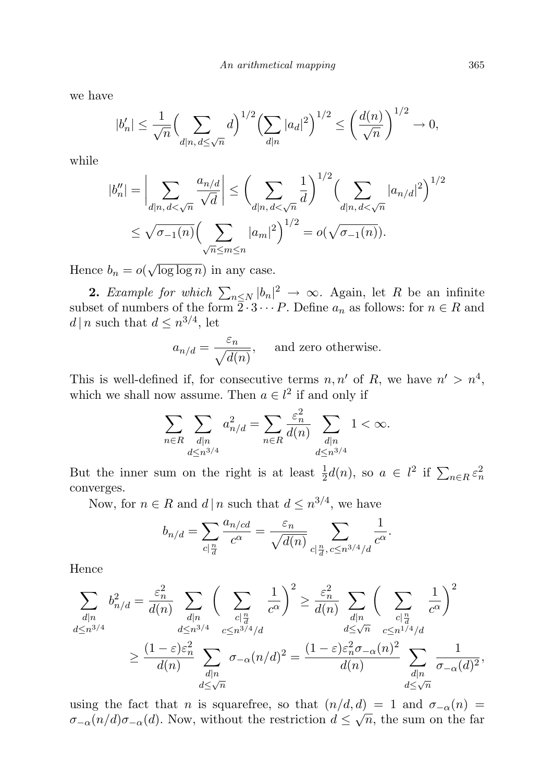we have

$$
|b'_n| \le \frac{1}{\sqrt{n}} \Big( \sum_{d|n, d \le \sqrt{n}} d \Big)^{1/2} \Big( \sum_{d|n} |a_d|^2 \Big)^{1/2} \le \left( \frac{d(n)}{\sqrt{n}} \right)^{1/2} \to 0,
$$

while

$$
|b_n''| = \left| \sum_{d|n, d < \sqrt{n}} \frac{a_{n/d}}{\sqrt{d}} \right| \le \left( \sum_{d|n, d < \sqrt{n}} \frac{1}{d} \right)^{1/2} \left( \sum_{d|n, d < \sqrt{n}} |a_{n/d}|^2 \right)^{1/2}
$$
\n
$$
\le \sqrt{\sigma_{-1}(n)} \left( \sum_{\sqrt{n} \le m \le n} |a_m|^2 \right)^{1/2} = o(\sqrt{\sigma_{-1}(n)}).
$$

Hence  $b_n = o($  $log log n)$  in any case.

**2.** Example for which  $\sum_{n\leq N} |b_n|^2 \to \infty$ . Again, let R be an infinite subset of numbers of the form  $\overline{2} \cdot 3 \cdots P$ . Define  $a_n$  as follows: for  $n \in R$  and  $d | n$  such that  $d \leq n^{3/4}$ , let

$$
a_{n/d} = \frac{\varepsilon_n}{\sqrt{d(n)}},
$$
 and zero otherwise.

This is well-defined if, for consecutive terms  $n, n'$  of R, we have  $n' > n^4$ , which we shall now assume. Then  $a \in l^2$  if and only if

$$
\sum_{n\in R}\sum_{\substack{d|n\\ d\leq n^{3/4}}}a_{n/d}^2=\sum_{n\in R}\frac{\varepsilon_n^2}{d(n)}\sum_{\substack{d|n\\ d\leq n^{3/4}}}1<\infty.
$$

But the inner sum on the right is at least  $\frac{1}{2}d(n)$ , so  $a \in l^2$  if  $\sum_{n \in R} \varepsilon_n^2$ converges.

Now, for  $n \in R$  and  $d | n$  such that  $d \leq n^{3/4}$ , we have

$$
b_{n/d} = \sum_{c \mid \frac{n}{d}} \frac{a_{n/cd}}{c^{\alpha}} = \frac{\varepsilon_n}{\sqrt{d(n)}} \sum_{c \mid \frac{n}{d}, c \leq n^{3/4}/d} \frac{1}{c^{\alpha}}.
$$

Hence

$$
\sum_{\substack{d|n\\d\leq n^{3/4}}} b_{n/d}^2 = \frac{\varepsilon_n^2}{d(n)} \sum_{\substack{d|n\\d\leq n^{3/4}}} \left(\sum_{\substack{c|\frac{n}{d}\\c\leq n^{3/4}/d}} \frac{1}{c^{\alpha}}\right)^2 \geq \frac{\varepsilon_n^2}{d(n)} \sum_{\substack{d|n\\d\leq \sqrt{n}}} \left(\sum_{\substack{c|\frac{n}{d}\\c\leq n^{1/4}/d}} \frac{1}{c^{\alpha}}\right)^2
$$

$$
\geq \frac{(1-\varepsilon)\varepsilon_n^2}{d(n)} \sum_{\substack{d|n\\d\leq \sqrt{n}}} \sigma_{-\alpha}(n/d)^2 = \frac{(1-\varepsilon)\varepsilon_n^2 \sigma_{-\alpha}(n)^2}{d(n)} \sum_{\substack{d|n\\d\leq \sqrt{n}}} \frac{1}{\sigma_{-\alpha}(d)^2},
$$

using the fact that *n* is squarefree, so that  $(n/d, d) = 1$  and  $\sigma_{-\alpha}(n) =$  $\sigma_{-\alpha}(n/d)\sigma_{-\alpha}(d)$ . Now, without the restriction  $d \leq \sqrt{n}$ , the sum on the far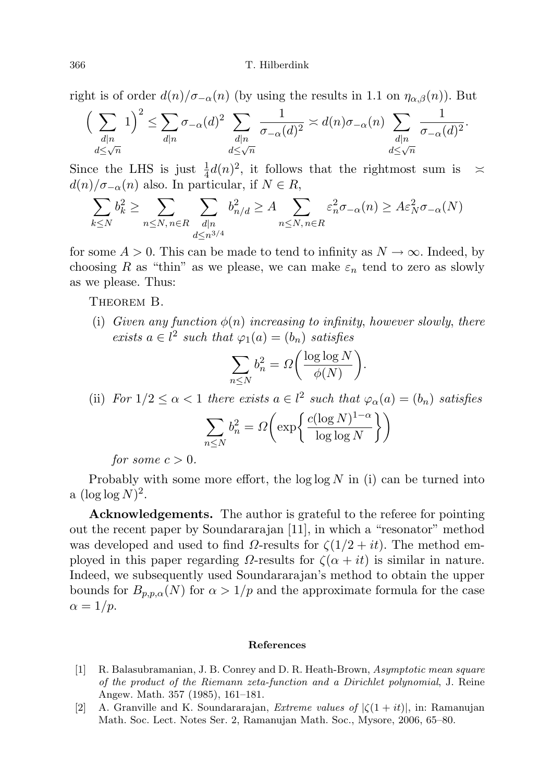#### 366 T. Hilberdink

right is of order  $d(n)/\sigma_{-\alpha}(n)$  (by using the results in 1.1 on  $\eta_{\alpha,\beta}(n)$ ). But

$$
\Big(\sum_{\substack{d\mid n\\ d\leq \sqrt{n}}}1\Big)^2\leq \sum_{d\mid n}\sigma_{-\alpha}(d)^2\sum_{\substack{d\mid n\\ d\leq \sqrt{n}}}\frac{1}{\sigma_{-\alpha}(d)^2}\asymp d(n)\sigma_{-\alpha}(n)\sum_{\substack{d\mid n\\ d\leq \sqrt{n}}}\frac{1}{\sigma_{-\alpha}(d)^2}.
$$

Since the LHS is just  $\frac{1}{4}d(n)^2$ , it follows that the rightmost sum is  $\approx$  $d(n)/\sigma_{-\alpha}(n)$  also. In particular, if  $N \in R$ ,

$$
\sum_{k \le N} b_k^2 \ge \sum_{n \le N, n \in R} \sum_{\substack{d|n \\ d \le n^{3/4}}} b_{n/d}^2 \ge A \sum_{n \le N, n \in R} \varepsilon_n^2 \sigma_{-\alpha}(n) \ge A \varepsilon_N^2 \sigma_{-\alpha}(N)
$$

for some  $A > 0$ . This can be made to tend to infinity as  $N \to \infty$ . Indeed, by choosing R as "thin" as we please, we can make  $\varepsilon_n$  tend to zero as slowly as we please. Thus:

THEOREM B.

(i) Given any function  $\phi(n)$  increasing to infinity, however slowly, there exists  $a \in l^2$  such that  $\varphi_1(a) = (b_n)$  satisfies

$$
\sum_{n \le N} b_n^2 = \Omega\bigg(\frac{\log \log N}{\phi(N)}\bigg).
$$

(ii) For  $1/2 \leq \alpha < 1$  there exists  $a \in l^2$  such that  $\varphi_\alpha(a) = (b_n)$  satisfies

$$
\sum_{n \le N} b_n^2 = \Omega\left(\exp\left\{\frac{c(\log N)^{1-\alpha}}{\log \log N}\right\}\right)
$$

for some  $c > 0$ .

Probably with some more effort, the  $\log \log N$  in (i) can be turned into a  $(\log \log N)^2$ .

Acknowledgements. The author is grateful to the referee for pointing out the recent paper by Soundararajan [11], in which a "resonator" method was developed and used to find  $\Omega$ -results for  $\zeta(1/2 + it)$ . The method employed in this paper regarding  $\Omega$ -results for  $\zeta(\alpha + it)$  is similar in nature. Indeed, we subsequently used Soundararajan's method to obtain the upper bounds for  $B_{p,p,\alpha}(N)$  for  $\alpha > 1/p$  and the approximate formula for the case  $\alpha = 1/p$ .

### References

- [1] R. Balasubramanian, J. B. Conrey and D. R. Heath-Brown, Asymptotic mean square of the product of the Riemann zeta-function and a Dirichlet polynomial, J. Reine Angew. Math. 357 (1985), 161–181.
- [2] A. Granville and K. Soundararajan, *Extreme values of*  $|\zeta(1+it)|$ , in: Ramanujan Math. Soc. Lect. Notes Ser. 2, Ramanujan Math. Soc., Mysore, 2006, 65–80.